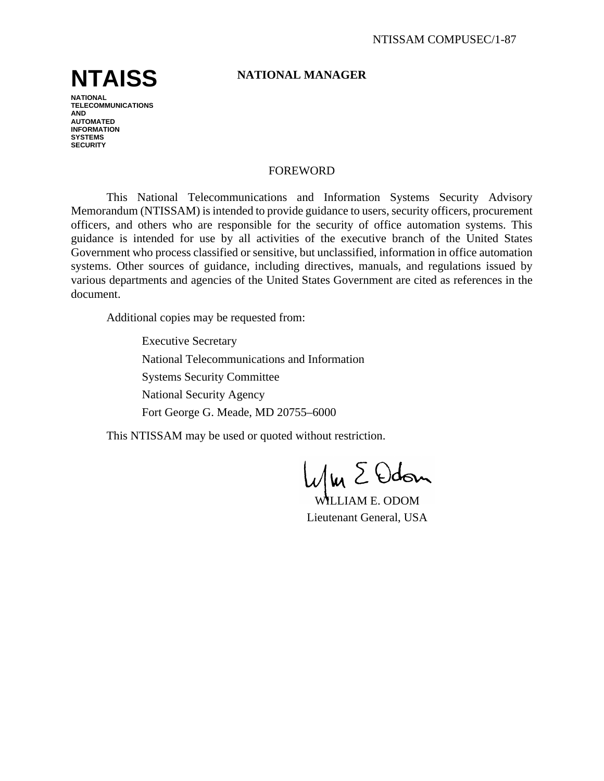# **NTAISS**

**NATIONAL TELECOMMUNICATIONS AND AUTOMATED INFORMATION SYSTEMS SECURITY**

# **NATIONAL MANAGER**

## FOREWORD

This National Telecommunications and Information Systems Security Advisory Memorandum (NTISSAM) is intended to provide guidance to users, security officers, procurement officers, and others who are responsible for the security of office automation systems. This guidance is intended for use by all activities of the executive branch of the United States Government who process classified or sensitive, but unclassified, information in office automation systems. Other sources of guidance, including directives, manuals, and regulations issued by various departments and agencies of the United States Government are cited as references in the document.

Additional copies may be requested from:

Executive Secretary National Telecommunications and Information Systems Security Committee National Security Agency Fort George G. Meade, MD 20755–6000

This NTISSAM may be used or quoted without restriction.

 $1\omega$   $\Sigma$  Odon

WILLIAM E. ODOM Lieutenant General, USA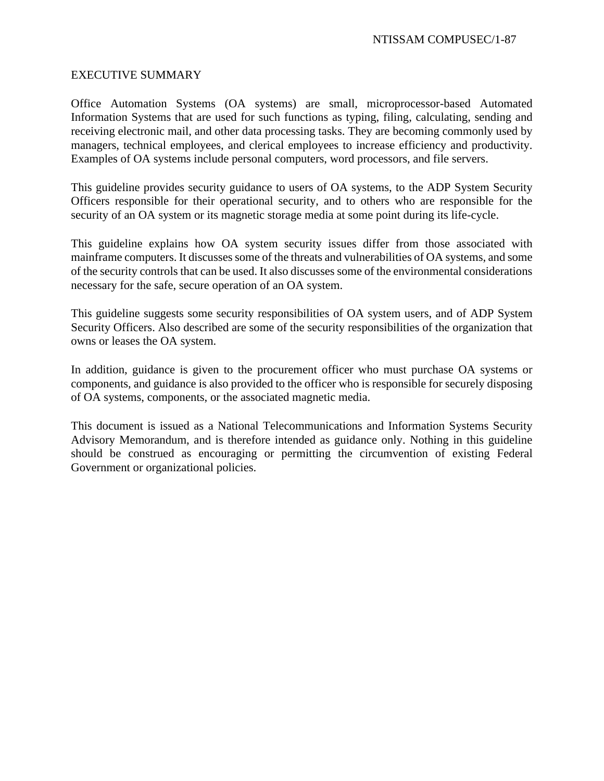## EXECUTIVE SUMMARY

Office Automation Systems (OA systems) are small, microprocessor-based Automated Information Systems that are used for such functions as typing, filing, calculating, sending and receiving electronic mail, and other data processing tasks. They are becoming commonly used by managers, technical employees, and clerical employees to increase efficiency and productivity. Examples of OA systems include personal computers, word processors, and file servers.

This guideline provides security guidance to users of OA systems, to the ADP System Security Officers responsible for their operational security, and to others who are responsible for the security of an OA system or its magnetic storage media at some point during its life-cycle.

This guideline explains how OA system security issues differ from those associated with mainframe computers. It discusses some of the threats and vulnerabilities of OA systems, and some of the security controls that can be used. It also discusses some of the environmental considerations necessary for the safe, secure operation of an OA system.

This guideline suggests some security responsibilities of OA system users, and of ADP System Security Officers. Also described are some of the security responsibilities of the organization that owns or leases the OA system.

In addition, guidance is given to the procurement officer who must purchase OA systems or components, and guidance is also provided to the officer who is responsible for securely disposing of OA systems, components, or the associated magnetic media.

This document is issued as a National Telecommunications and Information Systems Security Advisory Memorandum, and is therefore intended as guidance only. Nothing in this guideline should be construed as encouraging or permitting the circumvention of existing Federal Government or organizational policies.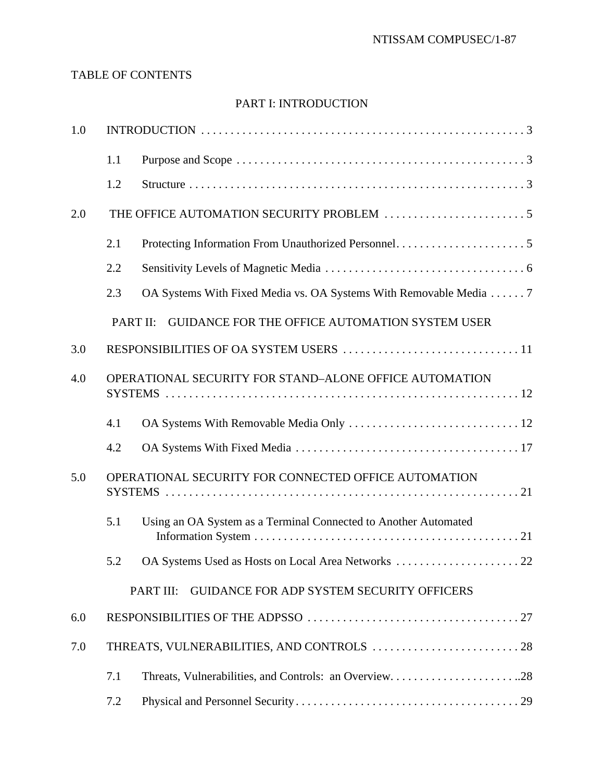# TABLE OF CONTENTS

# PART I: INTRODUCTION

| 1.0 |                                                        |                                                                   |  |  |  |
|-----|--------------------------------------------------------|-------------------------------------------------------------------|--|--|--|
|     | 1.1                                                    |                                                                   |  |  |  |
|     | 1.2                                                    |                                                                   |  |  |  |
| 2.0 |                                                        |                                                                   |  |  |  |
|     | 2.1                                                    |                                                                   |  |  |  |
|     | 2.2                                                    |                                                                   |  |  |  |
|     | 2.3                                                    | OA Systems With Fixed Media vs. OA Systems With Removable Media 7 |  |  |  |
|     | PART II:                                               | GUIDANCE FOR THE OFFICE AUTOMATION SYSTEM USER                    |  |  |  |
| 3.0 |                                                        |                                                                   |  |  |  |
| 4.0 | OPERATIONAL SECURITY FOR STAND-ALONE OFFICE AUTOMATION |                                                                   |  |  |  |
|     | 4.1                                                    |                                                                   |  |  |  |
|     | 4.2                                                    |                                                                   |  |  |  |
| 5.0 |                                                        | OPERATIONAL SECURITY FOR CONNECTED OFFICE AUTOMATION              |  |  |  |
|     | 5.1                                                    | Using an OA System as a Terminal Connected to Another Automated   |  |  |  |
|     | 5.2                                                    | .22<br>OA Systems Used as Hosts on Local Area Networks            |  |  |  |
|     |                                                        | PART III:<br>GUIDANCE FOR ADP SYSTEM SECURITY OFFICERS            |  |  |  |
| 6.0 |                                                        |                                                                   |  |  |  |
| 7.0 |                                                        |                                                                   |  |  |  |
|     | 7.1                                                    | Threats, Vulnerabilities, and Controls: an Overview28             |  |  |  |
|     | 7.2                                                    |                                                                   |  |  |  |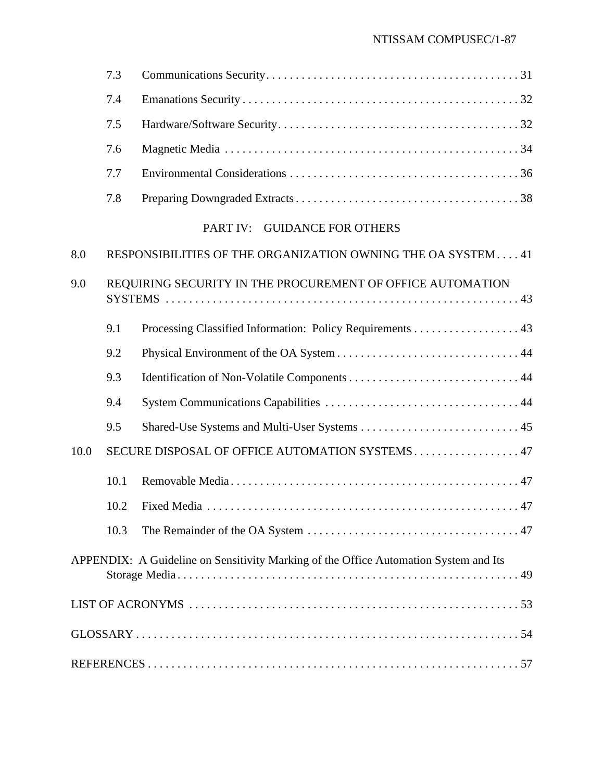# NTISSAM COMPUSEC/1-87

|                                                         | 7.3                                                         |                                                                                      |  |
|---------------------------------------------------------|-------------------------------------------------------------|--------------------------------------------------------------------------------------|--|
|                                                         | 7.4                                                         |                                                                                      |  |
|                                                         | 7.5                                                         |                                                                                      |  |
|                                                         | 7.6                                                         |                                                                                      |  |
|                                                         | 7.7                                                         |                                                                                      |  |
|                                                         | 7.8                                                         |                                                                                      |  |
|                                                         |                                                             | PART IV: GUIDANCE FOR OTHERS                                                         |  |
| 8.0                                                     | RESPONSIBILITIES OF THE ORGANIZATION OWNING THE OA SYSTEM41 |                                                                                      |  |
| 9.0                                                     | REQUIRING SECURITY IN THE PROCUREMENT OF OFFICE AUTOMATION  |                                                                                      |  |
|                                                         | 9.1                                                         | Processing Classified Information: Policy Requirements 43                            |  |
|                                                         | 9.2                                                         |                                                                                      |  |
|                                                         | 9.3                                                         |                                                                                      |  |
|                                                         | 9.4                                                         |                                                                                      |  |
|                                                         | 9.5                                                         |                                                                                      |  |
| SECURE DISPOSAL OF OFFICE AUTOMATION SYSTEMS 47<br>10.0 |                                                             |                                                                                      |  |
|                                                         | 10.1                                                        |                                                                                      |  |
|                                                         |                                                             |                                                                                      |  |
|                                                         | 10.3                                                        |                                                                                      |  |
|                                                         |                                                             | APPENDIX: A Guideline on Sensitivity Marking of the Office Automation System and Its |  |
|                                                         |                                                             |                                                                                      |  |
|                                                         |                                                             |                                                                                      |  |
|                                                         |                                                             |                                                                                      |  |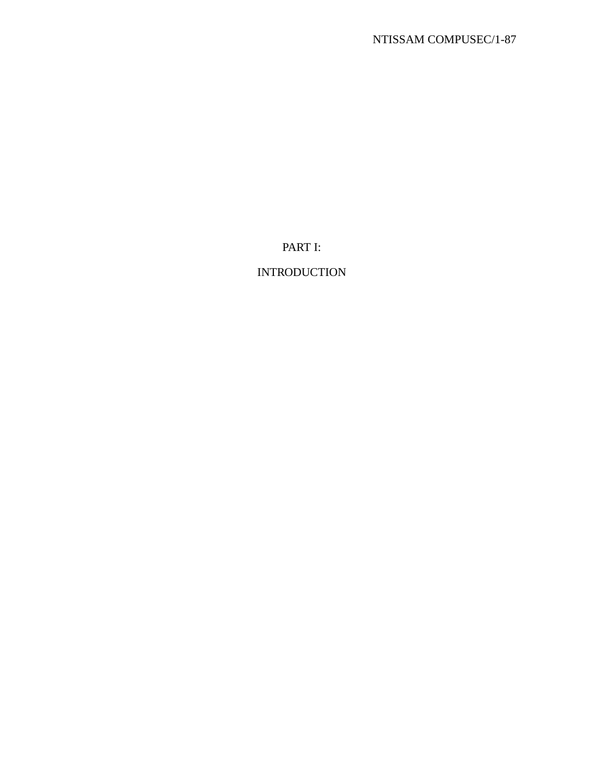PART I:

# INTRODUCTION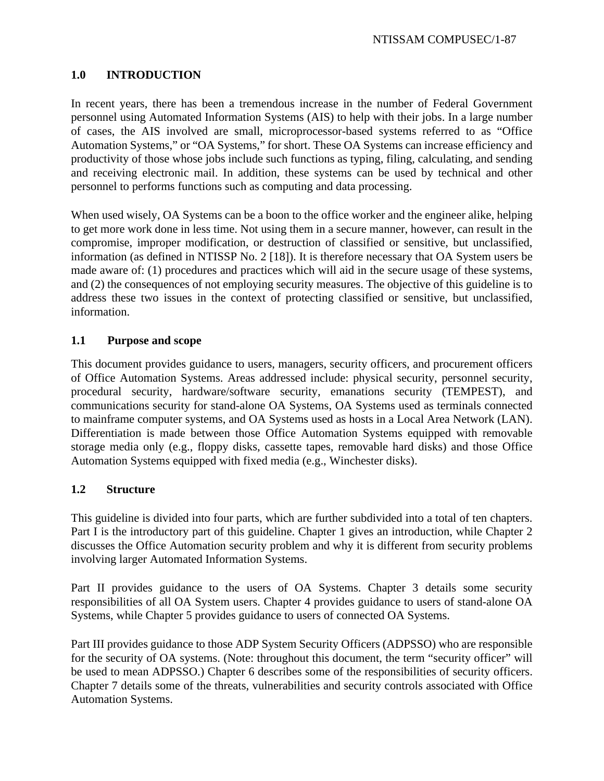# **1.0 INTRODUCTION**

In recent years, there has been a tremendous increase in the number of Federal Government personnel using Automated Information Systems (AIS) to help with their jobs. In a large number of cases, the AIS involved are small, microprocessor-based systems referred to as "Office Automation Systems," or "OA Systems," for short. These OA Systems can increase efficiency and productivity of those whose jobs include such functions as typing, filing, calculating, and sending and receiving electronic mail. In addition, these systems can be used by technical and other personnel to performs functions such as computing and data processing.

When used wisely, OA Systems can be a boon to the office worker and the engineer alike, helping to get more work done in less time. Not using them in a secure manner, however, can result in the compromise, improper modification, or destruction of classified or sensitive, but unclassified, information (as defined in NTISSP No. 2 [18]). It is therefore necessary that OA System users be made aware of: (1) procedures and practices which will aid in the secure usage of these systems, and (2) the consequences of not employing security measures. The objective of this guideline is to address these two issues in the context of protecting classified or sensitive, but unclassified, information.

# **1.1 Purpose and scope**

This document provides guidance to users, managers, security officers, and procurement officers of Office Automation Systems. Areas addressed include: physical security, personnel security, procedural security, hardware/software security, emanations security (TEMPEST), and communications security for stand-alone OA Systems, OA Systems used as terminals connected to mainframe computer systems, and OA Systems used as hosts in a Local Area Network (LAN). Differentiation is made between those Office Automation Systems equipped with removable storage media only (e.g., floppy disks, cassette tapes, removable hard disks) and those Office Automation Systems equipped with fixed media (e.g., Winchester disks).

# **1.2 Structure**

This guideline is divided into four parts, which are further subdivided into a total of ten chapters. Part I is the introductory part of this guideline. Chapter 1 gives an introduction, while Chapter 2 discusses the Office Automation security problem and why it is different from security problems involving larger Automated Information Systems.

Part II provides guidance to the users of OA Systems. Chapter 3 details some security responsibilities of all OA System users. Chapter 4 provides guidance to users of stand-alone OA Systems, while Chapter 5 provides guidance to users of connected OA Systems.

Part III provides guidance to those ADP System Security Officers (ADPSSO) who are responsible for the security of OA systems. (Note: throughout this document, the term "security officer" will be used to mean ADPSSO.) Chapter 6 describes some of the responsibilities of security officers. Chapter 7 details some of the threats, vulnerabilities and security controls associated with Office Automation Systems.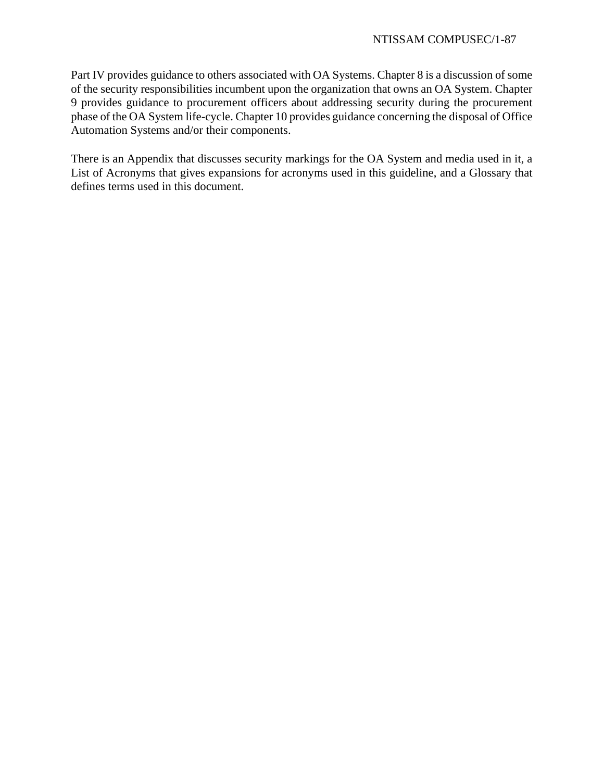Part IV provides guidance to others associated with OA Systems. Chapter 8 is a discussion of some of the security responsibilities incumbent upon the organization that owns an OA System. Chapter 9 provides guidance to procurement officers about addressing security during the procurement phase of the OA System life-cycle. Chapter 10 provides guidance concerning the disposal of Office Automation Systems and/or their components.

There is an Appendix that discusses security markings for the OA System and media used in it, a List of Acronyms that gives expansions for acronyms used in this guideline, and a Glossary that defines terms used in this document.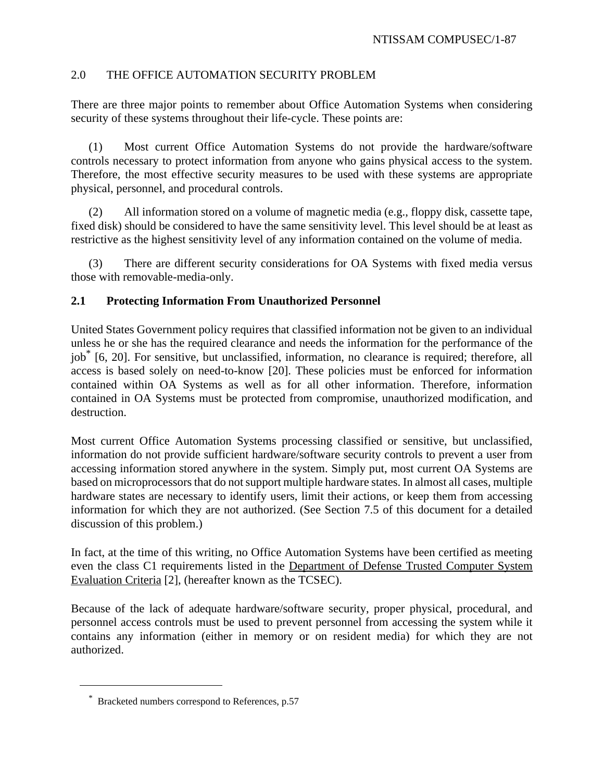# 2.0 THE OFFICE AUTOMATION SECURITY PROBLEM

There are three major points to remember about Office Automation Systems when considering security of these systems throughout their life-cycle. These points are:

(1) Most current Office Automation Systems do not provide the hardware/software controls necessary to protect information from anyone who gains physical access to the system. Therefore, the most effective security measures to be used with these systems are appropriate physical, personnel, and procedural controls.

(2) All information stored on a volume of magnetic media (e.g., floppy disk, cassette tape, fixed disk) should be considered to have the same sensitivity level. This level should be at least as restrictive as the highest sensitivity level of any information contained on the volume of media.

(3) There are different security considerations for OA Systems with fixed media versus those with removable-media-only.

# **2.1 Protecting Information From Unauthorized Personnel**

United States Government policy requires that classified information not be given to an individual unless he or she has the required clearance and needs the information for the performance of the iob<sup>\*</sup> [6, 20]. For sensitive, but unclassified, information, no clearance is required; therefore, all access is based solely on need-to-know [20]. These policies must be enforced for information contained within OA Systems as well as for all other information. Therefore, information contained in OA Systems must be protected from compromise, unauthorized modification, and destruction.

Most current Office Automation Systems processing classified or sensitive, but unclassified, information do not provide sufficient hardware/software security controls to prevent a user from accessing information stored anywhere in the system. Simply put, most current OA Systems are based on microprocessors that do not support multiple hardware states. In almost all cases, multiple hardware states are necessary to identify users, limit their actions, or keep them from accessing information for which they are not authorized. (See Section 7.5 of this document for a detailed discussion of this problem.)

In fact, at the time of this writing, no Office Automation Systems have been certified as meeting even the class C1 requirements listed in the Department of Defense Trusted Computer System Evaluation Criteria [2], (hereafter known as the TCSEC).

Because of the lack of adequate hardware/software security, proper physical, procedural, and personnel access controls must be used to prevent personnel from accessing the system while it contains any information (either in memory or on resident media) for which they are not authorized.

<sup>\*</sup> Bracketed numbers correspond to References, p.57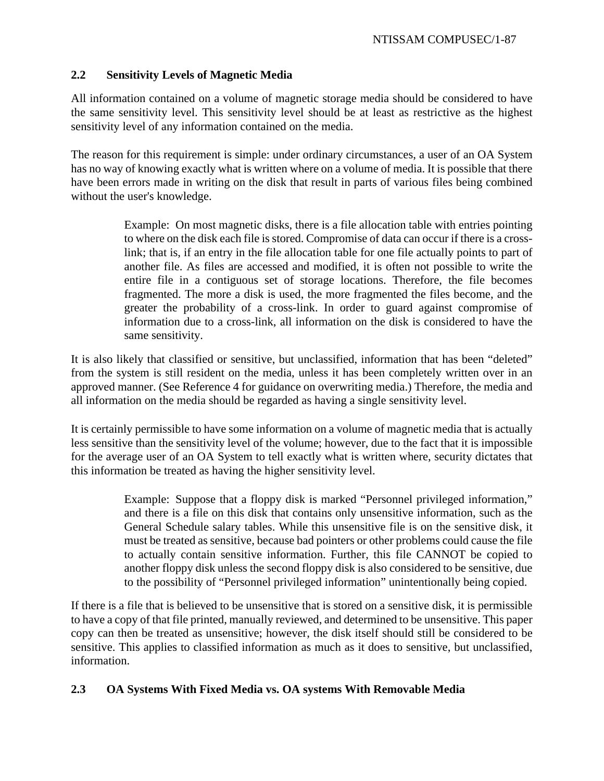# **2.2 Sensitivity Levels of Magnetic Media**

All information contained on a volume of magnetic storage media should be considered to have the same sensitivity level. This sensitivity level should be at least as restrictive as the highest sensitivity level of any information contained on the media.

The reason for this requirement is simple: under ordinary circumstances, a user of an OA System has no way of knowing exactly what is written where on a volume of media. It is possible that there have been errors made in writing on the disk that result in parts of various files being combined without the user's knowledge.

> Example: On most magnetic disks, there is a file allocation table with entries pointing to where on the disk each file is stored. Compromise of data can occur if there is a crosslink; that is, if an entry in the file allocation table for one file actually points to part of another file. As files are accessed and modified, it is often not possible to write the entire file in a contiguous set of storage locations. Therefore, the file becomes fragmented. The more a disk is used, the more fragmented the files become, and the greater the probability of a cross-link. In order to guard against compromise of information due to a cross-link, all information on the disk is considered to have the same sensitivity.

It is also likely that classified or sensitive, but unclassified, information that has been "deleted" from the system is still resident on the media, unless it has been completely written over in an approved manner. (See Reference 4 for guidance on overwriting media.) Therefore, the media and all information on the media should be regarded as having a single sensitivity level.

It is certainly permissible to have some information on a volume of magnetic media that is actually less sensitive than the sensitivity level of the volume; however, due to the fact that it is impossible for the average user of an OA System to tell exactly what is written where, security dictates that this information be treated as having the higher sensitivity level.

> Example: Suppose that a floppy disk is marked "Personnel privileged information," and there is a file on this disk that contains only unsensitive information, such as the General Schedule salary tables. While this unsensitive file is on the sensitive disk, it must be treated as sensitive, because bad pointers or other problems could cause the file to actually contain sensitive information. Further, this file CANNOT be copied to another floppy disk unless the second floppy disk is also considered to be sensitive, due to the possibility of "Personnel privileged information" unintentionally being copied.

If there is a file that is believed to be unsensitive that is stored on a sensitive disk, it is permissible to have a copy of that file printed, manually reviewed, and determined to be unsensitive. This paper copy can then be treated as unsensitive; however, the disk itself should still be considered to be sensitive. This applies to classified information as much as it does to sensitive, but unclassified, information.

# **2.3 OA Systems With Fixed Media vs. OA systems With Removable Media**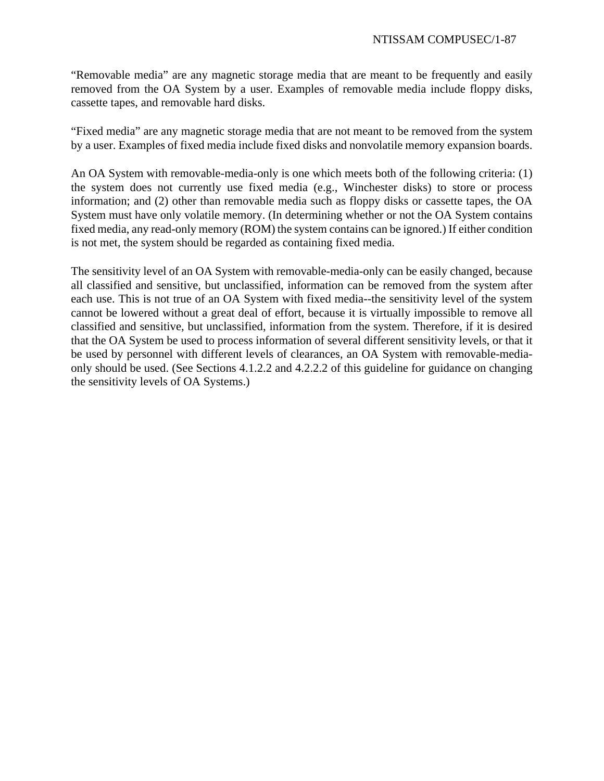"Removable media" are any magnetic storage media that are meant to be frequently and easily removed from the OA System by a user. Examples of removable media include floppy disks, cassette tapes, and removable hard disks.

"Fixed media" are any magnetic storage media that are not meant to be removed from the system by a user. Examples of fixed media include fixed disks and nonvolatile memory expansion boards.

An OA System with removable-media-only is one which meets both of the following criteria: (1) the system does not currently use fixed media (e.g., Winchester disks) to store or process information; and (2) other than removable media such as floppy disks or cassette tapes, the OA System must have only volatile memory. (In determining whether or not the OA System contains fixed media, any read-only memory (ROM) the system contains can be ignored.) If either condition is not met, the system should be regarded as containing fixed media.

The sensitivity level of an OA System with removable-media-only can be easily changed, because all classified and sensitive, but unclassified, information can be removed from the system after each use. This is not true of an OA System with fixed media--the sensitivity level of the system cannot be lowered without a great deal of effort, because it is virtually impossible to remove all classified and sensitive, but unclassified, information from the system. Therefore, if it is desired that the OA System be used to process information of several different sensitivity levels, or that it be used by personnel with different levels of clearances, an OA System with removable-mediaonly should be used. (See Sections 4.1.2.2 and 4.2.2.2 of this guideline for guidance on changing the sensitivity levels of OA Systems.)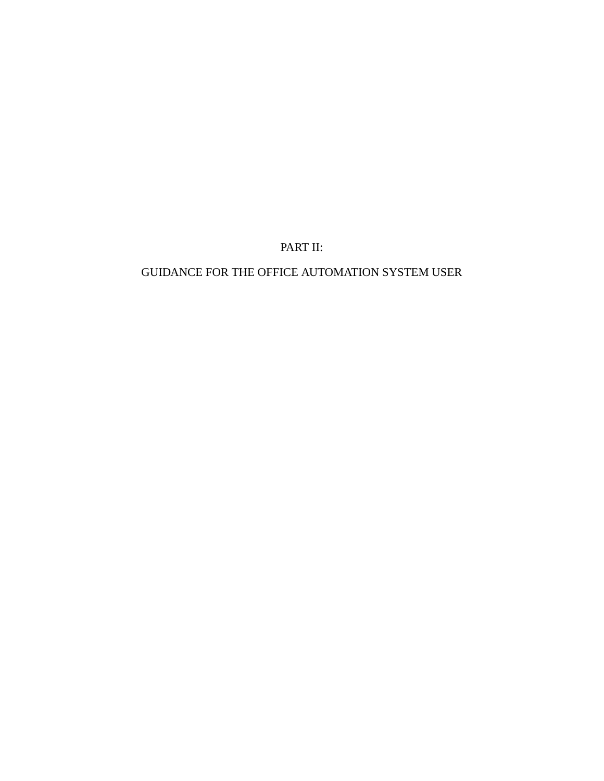PART II:

GUIDANCE FOR THE OFFICE AUTOMATION SYSTEM USER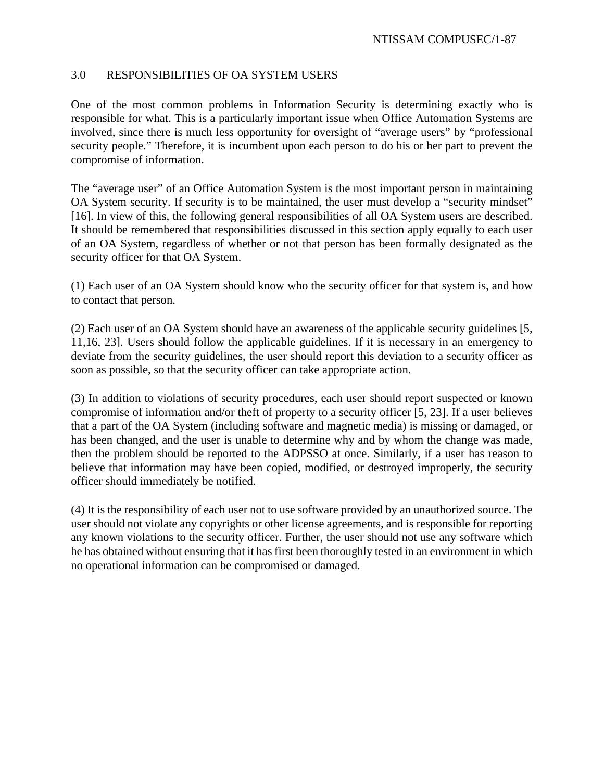# 3.0 RESPONSIBILITIES OF OA SYSTEM USERS

One of the most common problems in Information Security is determining exactly who is responsible for what. This is a particularly important issue when Office Automation Systems are involved, since there is much less opportunity for oversight of "average users" by "professional security people." Therefore, it is incumbent upon each person to do his or her part to prevent the compromise of information.

The "average user" of an Office Automation System is the most important person in maintaining OA System security. If security is to be maintained, the user must develop a "security mindset" [16]. In view of this, the following general responsibilities of all OA System users are described. It should be remembered that responsibilities discussed in this section apply equally to each user of an OA System, regardless of whether or not that person has been formally designated as the security officer for that OA System.

(1) Each user of an OA System should know who the security officer for that system is, and how to contact that person.

(2) Each user of an OA System should have an awareness of the applicable security guidelines [5, 11,16, 23]. Users should follow the applicable guidelines. If it is necessary in an emergency to deviate from the security guidelines, the user should report this deviation to a security officer as soon as possible, so that the security officer can take appropriate action.

(3) In addition to violations of security procedures, each user should report suspected or known compromise of information and/or theft of property to a security officer [5, 23]. If a user believes that a part of the OA System (including software and magnetic media) is missing or damaged, or has been changed, and the user is unable to determine why and by whom the change was made, then the problem should be reported to the ADPSSO at once. Similarly, if a user has reason to believe that information may have been copied, modified, or destroyed improperly, the security officer should immediately be notified.

(4) It is the responsibility of each user not to use software provided by an unauthorized source. The user should not violate any copyrights or other license agreements, and is responsible for reporting any known violations to the security officer. Further, the user should not use any software which he has obtained without ensuring that it has first been thoroughly tested in an environment in which no operational information can be compromised or damaged.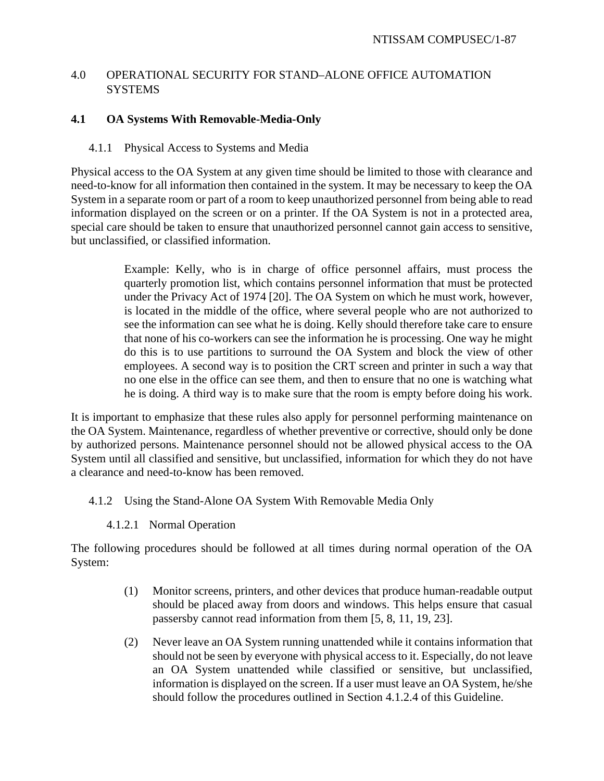# 4.0 OPERATIONAL SECURITY FOR STAND–ALONE OFFICE AUTOMATION **SYSTEMS**

# **4.1 OA Systems With Removable-Media-Only**

# 4.1.1 Physical Access to Systems and Media

Physical access to the OA System at any given time should be limited to those with clearance and need-to-know for all information then contained in the system. It may be necessary to keep the OA System in a separate room or part of a room to keep unauthorized personnel from being able to read information displayed on the screen or on a printer. If the OA System is not in a protected area, special care should be taken to ensure that unauthorized personnel cannot gain access to sensitive, but unclassified, or classified information.

> Example: Kelly, who is in charge of office personnel affairs, must process the quarterly promotion list, which contains personnel information that must be protected under the Privacy Act of 1974 [20]. The OA System on which he must work, however, is located in the middle of the office, where several people who are not authorized to see the information can see what he is doing. Kelly should therefore take care to ensure that none of his co-workers can see the information he is processing. One way he might do this is to use partitions to surround the OA System and block the view of other employees. A second way is to position the CRT screen and printer in such a way that no one else in the office can see them, and then to ensure that no one is watching what he is doing. A third way is to make sure that the room is empty before doing his work.

It is important to emphasize that these rules also apply for personnel performing maintenance on the OA System. Maintenance, regardless of whether preventive or corrective, should only be done by authorized persons. Maintenance personnel should not be allowed physical access to the OA System until all classified and sensitive, but unclassified, information for which they do not have a clearance and need-to-know has been removed.

# 4.1.2 Using the Stand-Alone OA System With Removable Media Only

4.1.2.1 Normal Operation

The following procedures should be followed at all times during normal operation of the OA System:

- (1) Monitor screens, printers, and other devices that produce human-readable output should be placed away from doors and windows. This helps ensure that casual passersby cannot read information from them [5, 8, 11, 19, 23].
- (2) Never leave an OA System running unattended while it contains information that should not be seen by everyone with physical access to it. Especially, do not leave an OA System unattended while classified or sensitive, but unclassified, information is displayed on the screen. If a user must leave an OA System, he/she should follow the procedures outlined in Section 4.1.2.4 of this Guideline.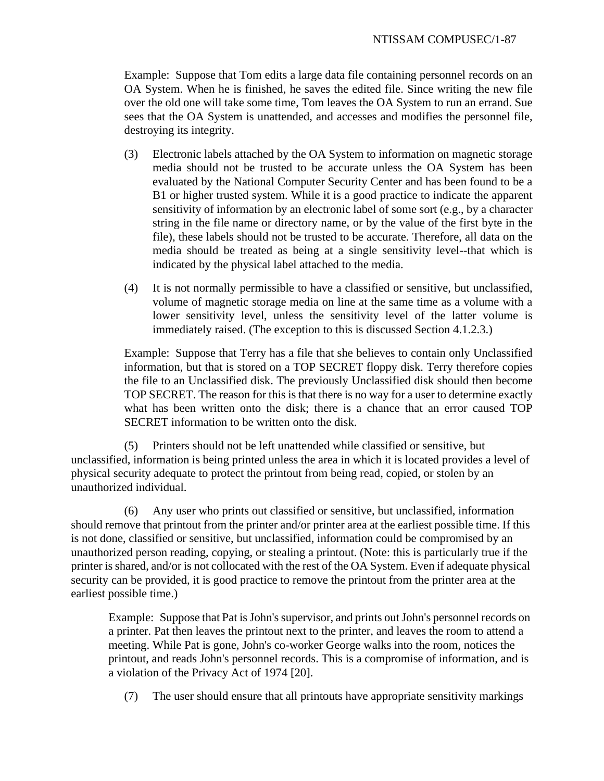Example: Suppose that Tom edits a large data file containing personnel records on an OA System. When he is finished, he saves the edited file. Since writing the new file over the old one will take some time, Tom leaves the OA System to run an errand. Sue sees that the OA System is unattended, and accesses and modifies the personnel file, destroying its integrity.

- (3) Electronic labels attached by the OA System to information on magnetic storage media should not be trusted to be accurate unless the OA System has been evaluated by the National Computer Security Center and has been found to be a B1 or higher trusted system. While it is a good practice to indicate the apparent sensitivity of information by an electronic label of some sort (e.g., by a character string in the file name or directory name, or by the value of the first byte in the file), these labels should not be trusted to be accurate. Therefore, all data on the media should be treated as being at a single sensitivity level--that which is indicated by the physical label attached to the media.
- (4) It is not normally permissible to have a classified or sensitive, but unclassified, volume of magnetic storage media on line at the same time as a volume with a lower sensitivity level, unless the sensitivity level of the latter volume is immediately raised. (The exception to this is discussed Section 4.1.2.3.)

Example: Suppose that Terry has a file that she believes to contain only Unclassified information, but that is stored on a TOP SECRET floppy disk. Terry therefore copies the file to an Unclassified disk. The previously Unclassified disk should then become TOP SECRET. The reason for this is that there is no way for a user to determine exactly what has been written onto the disk; there is a chance that an error caused TOP SECRET information to be written onto the disk.

(5) Printers should not be left unattended while classified or sensitive, but unclassified, information is being printed unless the area in which it is located provides a level of physical security adequate to protect the printout from being read, copied, or stolen by an unauthorized individual.

(6) Any user who prints out classified or sensitive, but unclassified, information should remove that printout from the printer and/or printer area at the earliest possible time. If this is not done, classified or sensitive, but unclassified, information could be compromised by an unauthorized person reading, copying, or stealing a printout. (Note: this is particularly true if the printer is shared, and/or is not collocated with the rest of the OA System. Even if adequate physical security can be provided, it is good practice to remove the printout from the printer area at the earliest possible time.)

Example: Suppose that Pat is John's supervisor, and prints out John's personnel records on a printer. Pat then leaves the printout next to the printer, and leaves the room to attend a meeting. While Pat is gone, John's co-worker George walks into the room, notices the printout, and reads John's personnel records. This is a compromise of information, and is a violation of the Privacy Act of 1974 [20].

(7) The user should ensure that all printouts have appropriate sensitivity markings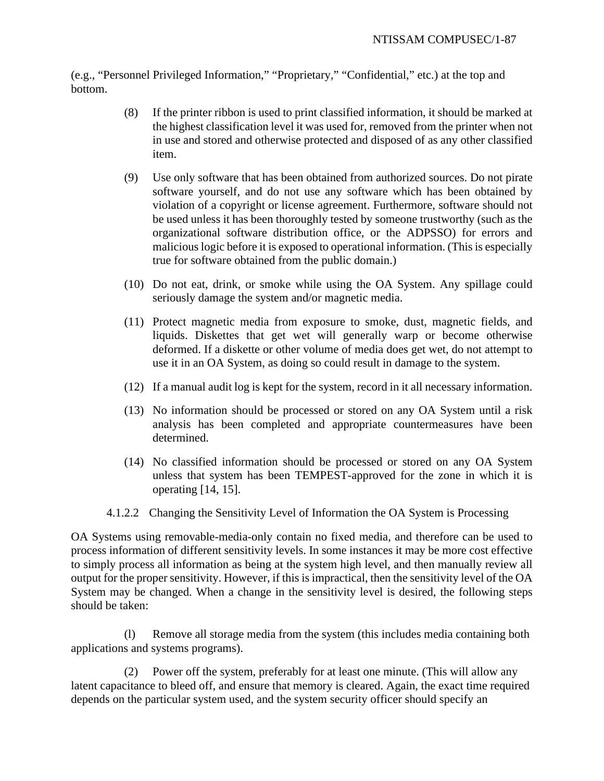(e.g., "Personnel Privileged Information," "Proprietary," "Confidential," etc.) at the top and bottom.

- (8) If the printer ribbon is used to print classified information, it should be marked at the highest classification level it was used for, removed from the printer when not in use and stored and otherwise protected and disposed of as any other classified item.
- (9) Use only software that has been obtained from authorized sources. Do not pirate software yourself, and do not use any software which has been obtained by violation of a copyright or license agreement. Furthermore, software should not be used unless it has been thoroughly tested by someone trustworthy (such as the organizational software distribution office, or the ADPSSO) for errors and malicious logic before it is exposed to operational information. (This is especially true for software obtained from the public domain.)
- (10) Do not eat, drink, or smoke while using the OA System. Any spillage could seriously damage the system and/or magnetic media.
- (11) Protect magnetic media from exposure to smoke, dust, magnetic fields, and liquids. Diskettes that get wet will generally warp or become otherwise deformed. If a diskette or other volume of media does get wet, do not attempt to use it in an OA System, as doing so could result in damage to the system.
- (12) If a manual audit log is kept for the system, record in it all necessary information.
- (13) No information should be processed or stored on any OA System until a risk analysis has been completed and appropriate countermeasures have been determined.
- (14) No classified information should be processed or stored on any OA System unless that system has been TEMPEST-approved for the zone in which it is operating [14, 15].
- 4.1.2.2 Changing the Sensitivity Level of Information the OA System is Processing

OA Systems using removable-media-only contain no fixed media, and therefore can be used to process information of different sensitivity levels. In some instances it may be more cost effective to simply process all information as being at the system high level, and then manually review all output for the proper sensitivity. However, if this is impractical, then the sensitivity level of the OA System may be changed. When a change in the sensitivity level is desired, the following steps should be taken:

(l) Remove all storage media from the system (this includes media containing both applications and systems programs).

(2) Power off the system, preferably for at least one minute. (This will allow any latent capacitance to bleed off, and ensure that memory is cleared. Again, the exact time required depends on the particular system used, and the system security officer should specify an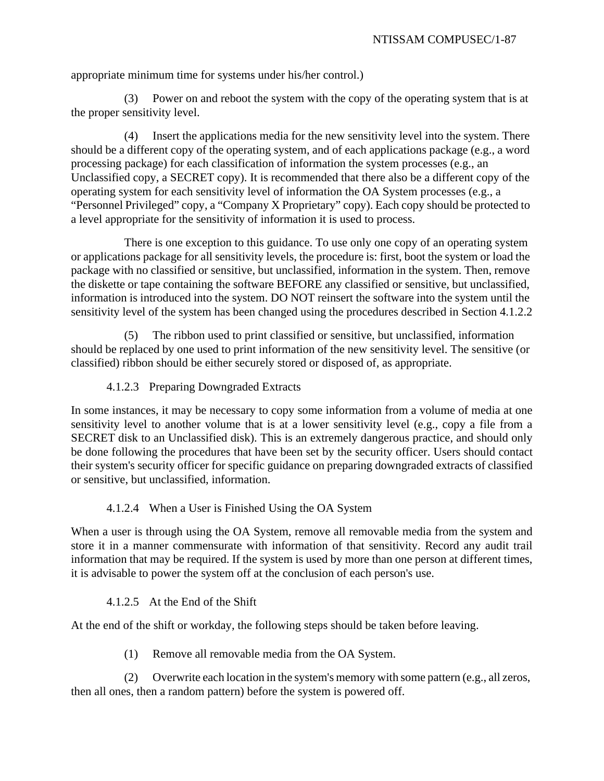appropriate minimum time for systems under his/her control.)

(3) Power on and reboot the system with the copy of the operating system that is at the proper sensitivity level.

(4) Insert the applications media for the new sensitivity level into the system. There should be a different copy of the operating system, and of each applications package (e.g., a word processing package) for each classification of information the system processes (e.g., an Unclassified copy, a SECRET copy). It is recommended that there also be a different copy of the operating system for each sensitivity level of information the OA System processes (e.g., a "Personnel Privileged" copy, a "Company X Proprietary" copy). Each copy should be protected to a level appropriate for the sensitivity of information it is used to process.

There is one exception to this guidance. To use only one copy of an operating system or applications package for all sensitivity levels, the procedure is: first, boot the system or load the package with no classified or sensitive, but unclassified, information in the system. Then, remove the diskette or tape containing the software BEFORE any classified or sensitive, but unclassified, information is introduced into the system. DO NOT reinsert the software into the system until the sensitivity level of the system has been changed using the procedures described in Section 4.1.2.2

(5) The ribbon used to print classified or sensitive, but unclassified, information should be replaced by one used to print information of the new sensitivity level. The sensitive (or classified) ribbon should be either securely stored or disposed of, as appropriate.

4.1.2.3 Preparing Downgraded Extracts

In some instances, it may be necessary to copy some information from a volume of media at one sensitivity level to another volume that is at a lower sensitivity level (e.g., copy a file from a SECRET disk to an Unclassified disk). This is an extremely dangerous practice, and should only be done following the procedures that have been set by the security officer. Users should contact their system's security officer for specific guidance on preparing downgraded extracts of classified or sensitive, but unclassified, information.

# 4.1.2.4 When a User is Finished Using the OA System

When a user is through using the OA System, remove all removable media from the system and store it in a manner commensurate with information of that sensitivity. Record any audit trail information that may be required. If the system is used by more than one person at different times, it is advisable to power the system off at the conclusion of each person's use.

## 4.1.2.5 At the End of the Shift

At the end of the shift or workday, the following steps should be taken before leaving.

(1) Remove all removable media from the OA System.

(2) Overwrite each location in the system's memory with some pattern (e.g., all zeros, then all ones, then a random pattern) before the system is powered off.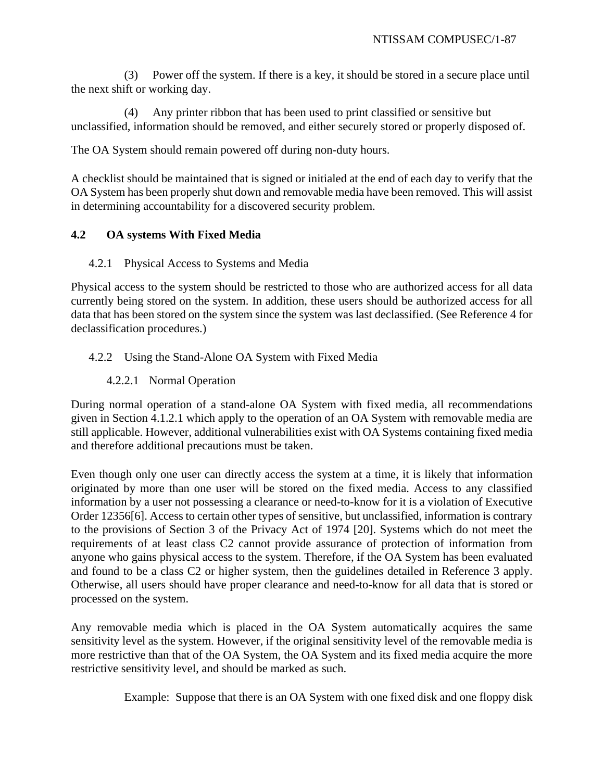(3) Power off the system. If there is a key, it should be stored in a secure place until the next shift or working day.

(4) Any printer ribbon that has been used to print classified or sensitive but unclassified, information should be removed, and either securely stored or properly disposed of.

The OA System should remain powered off during non-duty hours.

A checklist should be maintained that is signed or initialed at the end of each day to verify that the OA System has been properly shut down and removable media have been removed. This will assist in determining accountability for a discovered security problem.

# **4.2 OA systems With Fixed Media**

4.2.1 Physical Access to Systems and Media

Physical access to the system should be restricted to those who are authorized access for all data currently being stored on the system. In addition, these users should be authorized access for all data that has been stored on the system since the system was last declassified. (See Reference 4 for declassification procedures.)

# 4.2.2 Using the Stand-Alone OA System with Fixed Media

# 4.2.2.1 Normal Operation

During normal operation of a stand-alone OA System with fixed media, all recommendations given in Section 4.1.2.1 which apply to the operation of an OA System with removable media are still applicable. However, additional vulnerabilities exist with OA Systems containing fixed media and therefore additional precautions must be taken.

Even though only one user can directly access the system at a time, it is likely that information originated by more than one user will be stored on the fixed media. Access to any classified information by a user not possessing a clearance or need-to-know for it is a violation of Executive Order 12356[6]. Access to certain other types of sensitive, but unclassified, information is contrary to the provisions of Section 3 of the Privacy Act of 1974 [20]. Systems which do not meet the requirements of at least class C2 cannot provide assurance of protection of information from anyone who gains physical access to the system. Therefore, if the OA System has been evaluated and found to be a class C2 or higher system, then the guidelines detailed in Reference 3 apply. Otherwise, all users should have proper clearance and need-to-know for all data that is stored or processed on the system.

Any removable media which is placed in the OA System automatically acquires the same sensitivity level as the system. However, if the original sensitivity level of the removable media is more restrictive than that of the OA System, the OA System and its fixed media acquire the more restrictive sensitivity level, and should be marked as such.

Example: Suppose that there is an OA System with one fixed disk and one floppy disk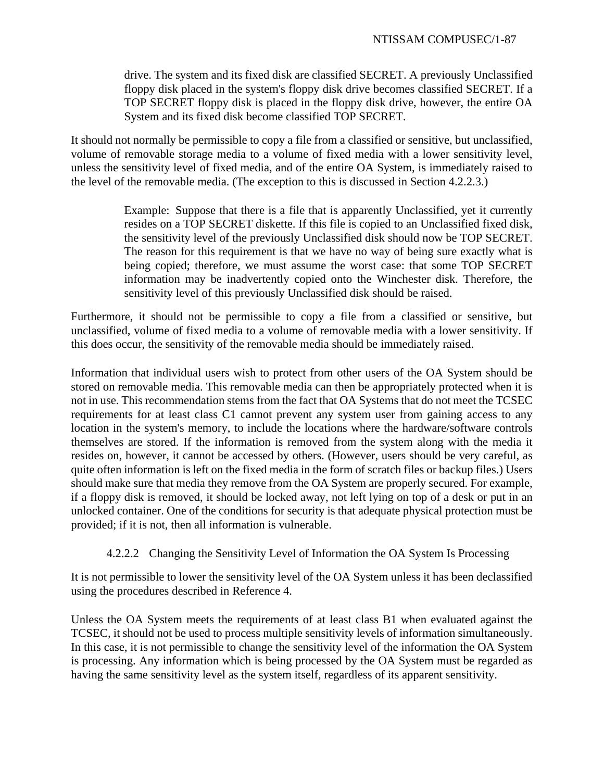drive. The system and its fixed disk are classified SECRET. A previously Unclassified floppy disk placed in the system's floppy disk drive becomes classified SECRET. If a TOP SECRET floppy disk is placed in the floppy disk drive, however, the entire OA System and its fixed disk become classified TOP SECRET.

It should not normally be permissible to copy a file from a classified or sensitive, but unclassified, volume of removable storage media to a volume of fixed media with a lower sensitivity level, unless the sensitivity level of fixed media, and of the entire OA System, is immediately raised to the level of the removable media. (The exception to this is discussed in Section 4.2.2.3.)

> Example: Suppose that there is a file that is apparently Unclassified, yet it currently resides on a TOP SECRET diskette. If this file is copied to an Unclassified fixed disk, the sensitivity level of the previously Unclassified disk should now be TOP SECRET. The reason for this requirement is that we have no way of being sure exactly what is being copied; therefore, we must assume the worst case: that some TOP SECRET information may be inadvertently copied onto the Winchester disk. Therefore, the sensitivity level of this previously Unclassified disk should be raised.

Furthermore, it should not be permissible to copy a file from a classified or sensitive, but unclassified, volume of fixed media to a volume of removable media with a lower sensitivity. If this does occur, the sensitivity of the removable media should be immediately raised.

Information that individual users wish to protect from other users of the OA System should be stored on removable media. This removable media can then be appropriately protected when it is not in use. This recommendation stems from the fact that OA Systems that do not meet the TCSEC requirements for at least class C1 cannot prevent any system user from gaining access to any location in the system's memory, to include the locations where the hardware/software controls themselves are stored. If the information is removed from the system along with the media it resides on, however, it cannot be accessed by others. (However, users should be very careful, as quite often information is left on the fixed media in the form of scratch files or backup files.) Users should make sure that media they remove from the OA System are properly secured. For example, if a floppy disk is removed, it should be locked away, not left lying on top of a desk or put in an unlocked container. One of the conditions for security is that adequate physical protection must be provided; if it is not, then all information is vulnerable.

4.2.2.2 Changing the Sensitivity Level of Information the OA System Is Processing

It is not permissible to lower the sensitivity level of the OA System unless it has been declassified using the procedures described in Reference 4.

Unless the OA System meets the requirements of at least class B1 when evaluated against the TCSEC, it should not be used to process multiple sensitivity levels of information simultaneously. In this case, it is not permissible to change the sensitivity level of the information the OA System is processing. Any information which is being processed by the OA System must be regarded as having the same sensitivity level as the system itself, regardless of its apparent sensitivity.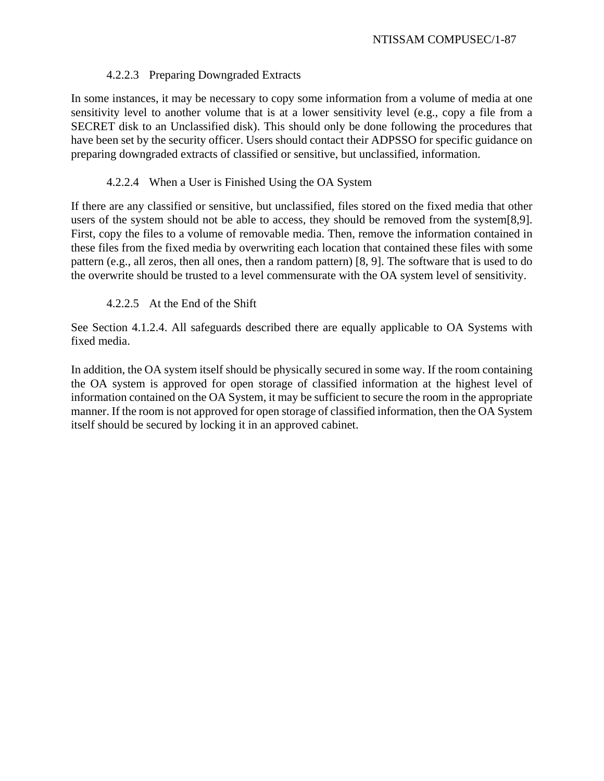# 4.2.2.3 Preparing Downgraded Extracts

In some instances, it may be necessary to copy some information from a volume of media at one sensitivity level to another volume that is at a lower sensitivity level (e.g., copy a file from a SECRET disk to an Unclassified disk). This should only be done following the procedures that have been set by the security officer. Users should contact their ADPSSO for specific guidance on preparing downgraded extracts of classified or sensitive, but unclassified, information.

# 4.2.2.4 When a User is Finished Using the OA System

If there are any classified or sensitive, but unclassified, files stored on the fixed media that other users of the system should not be able to access, they should be removed from the system[8,9]. First, copy the files to a volume of removable media. Then, remove the information contained in these files from the fixed media by overwriting each location that contained these files with some pattern (e.g., all zeros, then all ones, then a random pattern) [8, 9]. The software that is used to do the overwrite should be trusted to a level commensurate with the OA system level of sensitivity.

# 4.2.2.5 At the End of the Shift

See Section 4.1.2.4. All safeguards described there are equally applicable to OA Systems with fixed media.

In addition, the OA system itself should be physically secured in some way. If the room containing the OA system is approved for open storage of classified information at the highest level of information contained on the OA System, it may be sufficient to secure the room in the appropriate manner. If the room is not approved for open storage of classified information, then the OA System itself should be secured by locking it in an approved cabinet.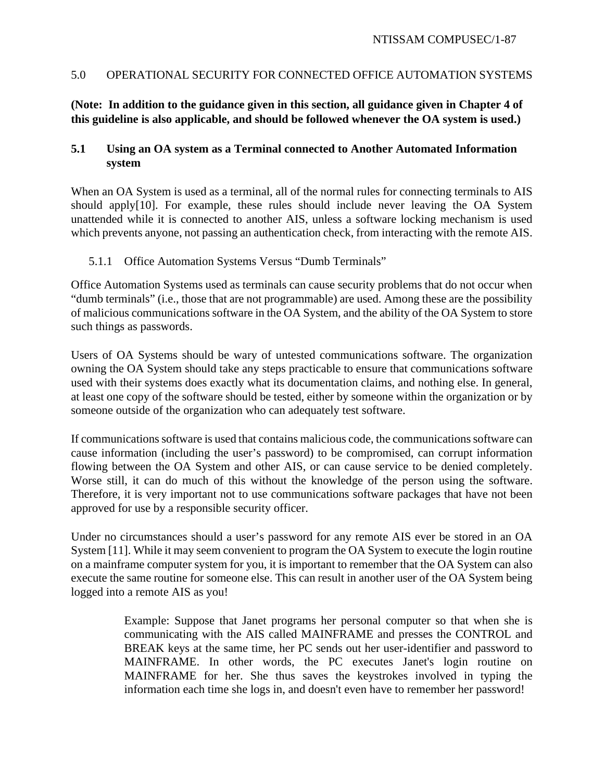# 5.0 OPERATIONAL SECURITY FOR CONNECTED OFFICE AUTOMATION SYSTEMS

# **(Note: In addition to the guidance given in this section, all guidance given in Chapter 4 of this guideline is also applicable, and should be followed whenever the OA system is used.)**

# **5.1 Using an OA system as a Terminal connected to Another Automated Information system**

When an OA System is used as a terminal, all of the normal rules for connecting terminals to AIS should apply[10]. For example, these rules should include never leaving the OA System unattended while it is connected to another AIS, unless a software locking mechanism is used which prevents anyone, not passing an authentication check, from interacting with the remote AIS.

## 5.1.1 Office Automation Systems Versus "Dumb Terminals"

Office Automation Systems used as terminals can cause security problems that do not occur when "dumb terminals" (i.e., those that are not programmable) are used. Among these are the possibility of malicious communications software in the OA System, and the ability of the OA System to store such things as passwords.

Users of OA Systems should be wary of untested communications software. The organization owning the OA System should take any steps practicable to ensure that communications software used with their systems does exactly what its documentation claims, and nothing else. In general, at least one copy of the software should be tested, either by someone within the organization or by someone outside of the organization who can adequately test software.

If communications software is used that contains malicious code, the communications software can cause information (including the user's password) to be compromised, can corrupt information flowing between the OA System and other AIS, or can cause service to be denied completely. Worse still, it can do much of this without the knowledge of the person using the software. Therefore, it is very important not to use communications software packages that have not been approved for use by a responsible security officer.

Under no circumstances should a user's password for any remote AIS ever be stored in an OA System [11]. While it may seem convenient to program the OA System to execute the login routine on a mainframe computer system for you, it is important to remember that the OA System can also execute the same routine for someone else. This can result in another user of the OA System being logged into a remote AIS as you!

> Example: Suppose that Janet programs her personal computer so that when she is communicating with the AIS called MAINFRAME and presses the CONTROL and BREAK keys at the same time, her PC sends out her user-identifier and password to MAINFRAME. In other words, the PC executes Janet's login routine on MAINFRAME for her. She thus saves the keystrokes involved in typing the information each time she logs in, and doesn't even have to remember her password!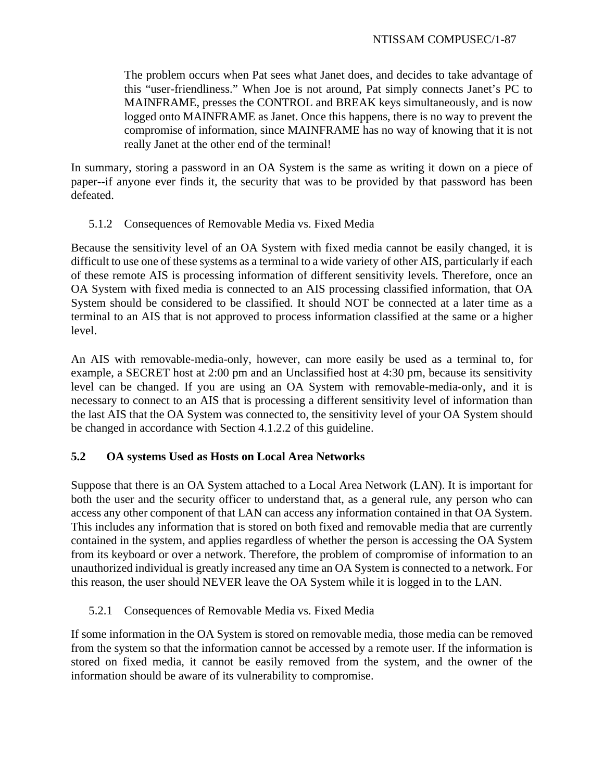The problem occurs when Pat sees what Janet does, and decides to take advantage of this "user-friendliness." When Joe is not around, Pat simply connects Janet's PC to MAINFRAME, presses the CONTROL and BREAK keys simultaneously, and is now logged onto MAINFRAME as Janet. Once this happens, there is no way to prevent the compromise of information, since MAINFRAME has no way of knowing that it is not really Janet at the other end of the terminal!

In summary, storing a password in an OA System is the same as writing it down on a piece of paper--if anyone ever finds it, the security that was to be provided by that password has been defeated.

# 5.1.2 Consequences of Removable Media vs. Fixed Media

Because the sensitivity level of an OA System with fixed media cannot be easily changed, it is difficult to use one of these systems as a terminal to a wide variety of other AIS, particularly if each of these remote AIS is processing information of different sensitivity levels. Therefore, once an OA System with fixed media is connected to an AIS processing classified information, that OA System should be considered to be classified. It should NOT be connected at a later time as a terminal to an AIS that is not approved to process information classified at the same or a higher level.

An AIS with removable-media-only, however, can more easily be used as a terminal to, for example, a SECRET host at 2:00 pm and an Unclassified host at 4:30 pm, because its sensitivity level can be changed. If you are using an OA System with removable-media-only, and it is necessary to connect to an AIS that is processing a different sensitivity level of information than the last AIS that the OA System was connected to, the sensitivity level of your OA System should be changed in accordance with Section 4.1.2.2 of this guideline.

# **5.2 OA systems Used as Hosts on Local Area Networks**

Suppose that there is an OA System attached to a Local Area Network (LAN). It is important for both the user and the security officer to understand that, as a general rule, any person who can access any other component of that LAN can access any information contained in that OA System. This includes any information that is stored on both fixed and removable media that are currently contained in the system, and applies regardless of whether the person is accessing the OA System from its keyboard or over a network. Therefore, the problem of compromise of information to an unauthorized individual is greatly increased any time an OA System is connected to a network. For this reason, the user should NEVER leave the OA System while it is logged in to the LAN.

# 5.2.1 Consequences of Removable Media vs. Fixed Media

If some information in the OA System is stored on removable media, those media can be removed from the system so that the information cannot be accessed by a remote user. If the information is stored on fixed media, it cannot be easily removed from the system, and the owner of the information should be aware of its vulnerability to compromise.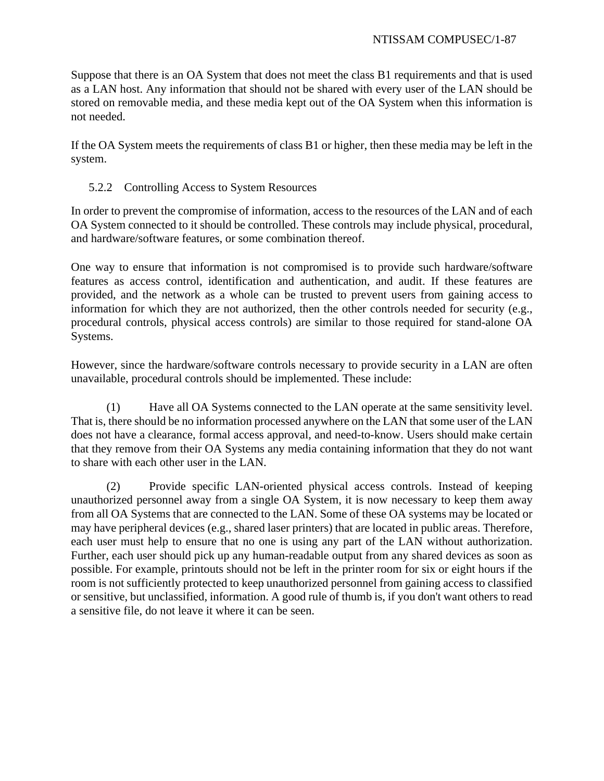Suppose that there is an OA System that does not meet the class B1 requirements and that is used as a LAN host. Any information that should not be shared with every user of the LAN should be stored on removable media, and these media kept out of the OA System when this information is not needed.

If the OA System meets the requirements of class B1 or higher, then these media may be left in the system.

# 5.2.2 Controlling Access to System Resources

In order to prevent the compromise of information, access to the resources of the LAN and of each OA System connected to it should be controlled. These controls may include physical, procedural, and hardware/software features, or some combination thereof.

One way to ensure that information is not compromised is to provide such hardware/software features as access control, identification and authentication, and audit. If these features are provided, and the network as a whole can be trusted to prevent users from gaining access to information for which they are not authorized, then the other controls needed for security (e.g., procedural controls, physical access controls) are similar to those required for stand-alone OA Systems.

However, since the hardware/software controls necessary to provide security in a LAN are often unavailable, procedural controls should be implemented. These include:

(1) Have all OA Systems connected to the LAN operate at the same sensitivity level. That is, there should be no information processed anywhere on the LAN that some user of the LAN does not have a clearance, formal access approval, and need-to-know. Users should make certain that they remove from their OA Systems any media containing information that they do not want to share with each other user in the LAN.

(2) Provide specific LAN-oriented physical access controls. Instead of keeping unauthorized personnel away from a single OA System, it is now necessary to keep them away from all OA Systems that are connected to the LAN. Some of these OA systems may be located or may have peripheral devices (e.g., shared laser printers) that are located in public areas. Therefore, each user must help to ensure that no one is using any part of the LAN without authorization. Further, each user should pick up any human-readable output from any shared devices as soon as possible. For example, printouts should not be left in the printer room for six or eight hours if the room is not sufficiently protected to keep unauthorized personnel from gaining access to classified or sensitive, but unclassified, information. A good rule of thumb is, if you don't want others to read a sensitive file, do not leave it where it can be seen.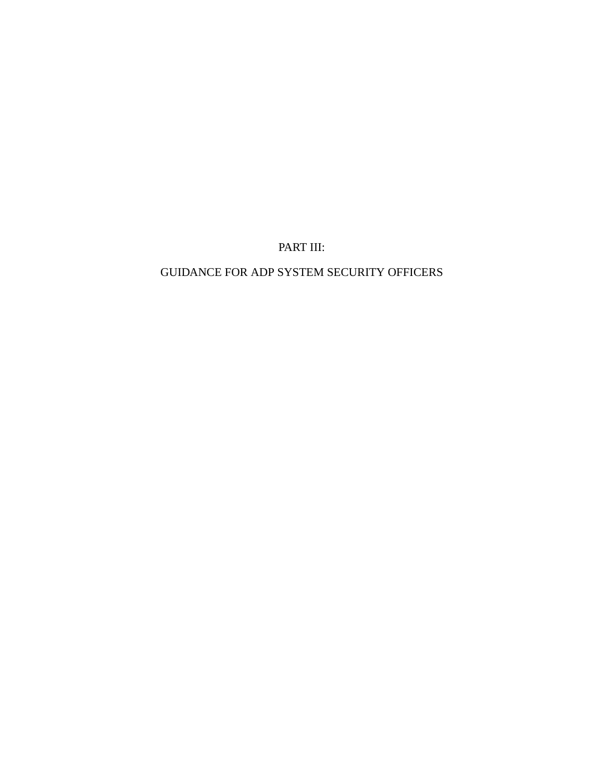PART III:

# GUIDANCE FOR ADP SYSTEM SECURITY OFFICERS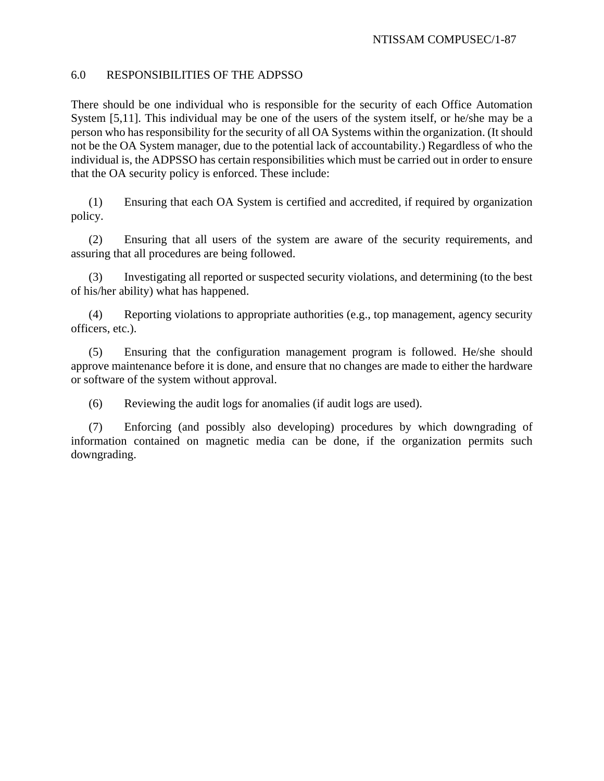## 6.0 RESPONSIBILITIES OF THE ADPSSO

There should be one individual who is responsible for the security of each Office Automation System [5,11]. This individual may be one of the users of the system itself, or he/she may be a person who has responsibility for the security of all OA Systems within the organization. (It should not be the OA System manager, due to the potential lack of accountability.) Regardless of who the individual is, the ADPSSO has certain responsibilities which must be carried out in order to ensure that the OA security policy is enforced. These include:

(1) Ensuring that each OA System is certified and accredited, if required by organization policy.

(2) Ensuring that all users of the system are aware of the security requirements, and assuring that all procedures are being followed.

(3) Investigating all reported or suspected security violations, and determining (to the best of his/her ability) what has happened.

(4) Reporting violations to appropriate authorities (e.g., top management, agency security officers, etc.).

(5) Ensuring that the configuration management program is followed. He/she should approve maintenance before it is done, and ensure that no changes are made to either the hardware or software of the system without approval.

(6) Reviewing the audit logs for anomalies (if audit logs are used).

(7) Enforcing (and possibly also developing) procedures by which downgrading of information contained on magnetic media can be done, if the organization permits such downgrading.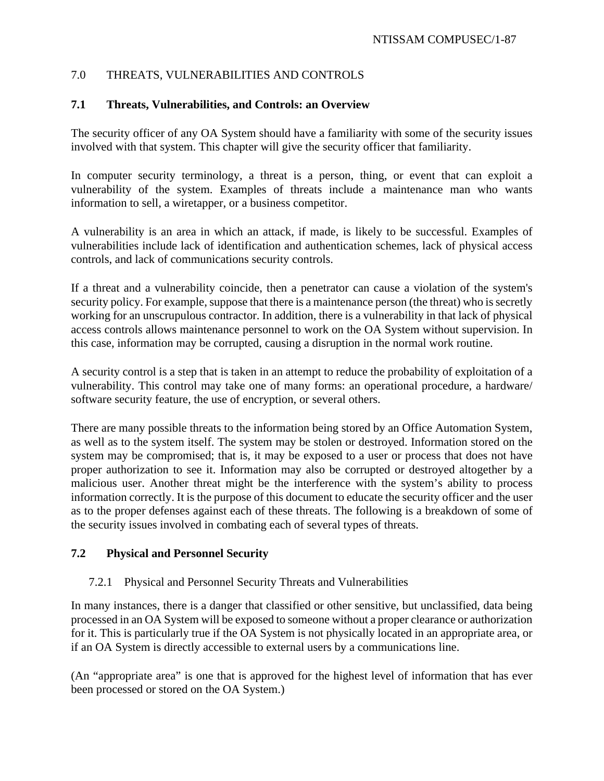# 7.0 THREATS, VULNERABILITIES AND CONTROLS

# **7.1 Threats, Vulnerabilities, and Controls: an Overview**

The security officer of any OA System should have a familiarity with some of the security issues involved with that system. This chapter will give the security officer that familiarity.

In computer security terminology, a threat is a person, thing, or event that can exploit a vulnerability of the system. Examples of threats include a maintenance man who wants information to sell, a wiretapper, or a business competitor.

A vulnerability is an area in which an attack, if made, is likely to be successful. Examples of vulnerabilities include lack of identification and authentication schemes, lack of physical access controls, and lack of communications security controls.

If a threat and a vulnerability coincide, then a penetrator can cause a violation of the system's security policy. For example, suppose that there is a maintenance person (the threat) who is secretly working for an unscrupulous contractor. In addition, there is a vulnerability in that lack of physical access controls allows maintenance personnel to work on the OA System without supervision. In this case, information may be corrupted, causing a disruption in the normal work routine.

A security control is a step that is taken in an attempt to reduce the probability of exploitation of a vulnerability. This control may take one of many forms: an operational procedure, a hardware/ software security feature, the use of encryption, or several others.

There are many possible threats to the information being stored by an Office Automation System, as well as to the system itself. The system may be stolen or destroyed. Information stored on the system may be compromised; that is, it may be exposed to a user or process that does not have proper authorization to see it. Information may also be corrupted or destroyed altogether by a malicious user. Another threat might be the interference with the system's ability to process information correctly. It is the purpose of this document to educate the security officer and the user as to the proper defenses against each of these threats. The following is a breakdown of some of the security issues involved in combating each of several types of threats.

# **7.2 Physical and Personnel Security**

## 7.2.1 Physical and Personnel Security Threats and Vulnerabilities

In many instances, there is a danger that classified or other sensitive, but unclassified, data being processed in an OA System will be exposed to someone without a proper clearance or authorization for it. This is particularly true if the OA System is not physically located in an appropriate area, or if an OA System is directly accessible to external users by a communications line.

(An "appropriate area" is one that is approved for the highest level of information that has ever been processed or stored on the OA System.)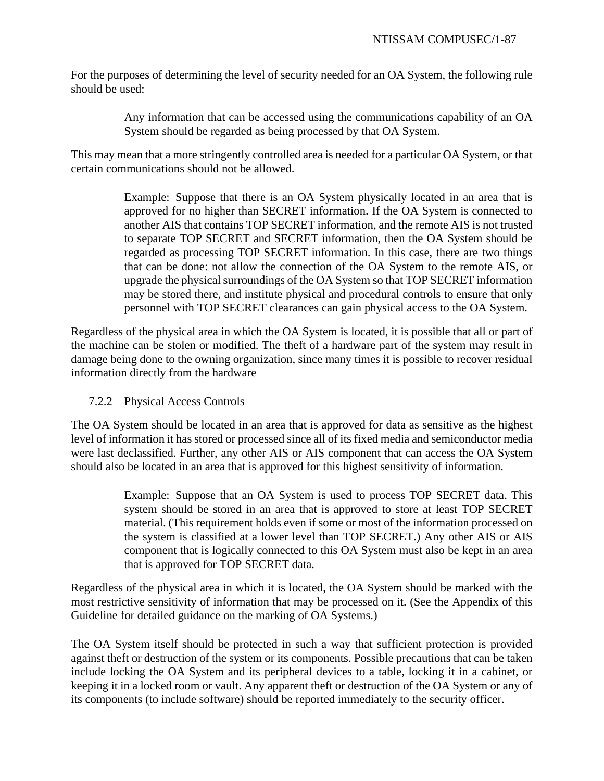For the purposes of determining the level of security needed for an OA System, the following rule should be used:

> Any information that can be accessed using the communications capability of an OA System should be regarded as being processed by that OA System.

This may mean that a more stringently controlled area is needed for a particular OA System, or that certain communications should not be allowed.

> Example: Suppose that there is an OA System physically located in an area that is approved for no higher than SECRET information. If the OA System is connected to another AIS that contains TOP SECRET information, and the remote AIS is not trusted to separate TOP SECRET and SECRET information, then the OA System should be regarded as processing TOP SECRET information. In this case, there are two things that can be done: not allow the connection of the OA System to the remote AIS, or upgrade the physical surroundings of the OA System so that TOP SECRET information may be stored there, and institute physical and procedural controls to ensure that only personnel with TOP SECRET clearances can gain physical access to the OA System.

Regardless of the physical area in which the OA System is located, it is possible that all or part of the machine can be stolen or modified. The theft of a hardware part of the system may result in damage being done to the owning organization, since many times it is possible to recover residual information directly from the hardware

# 7.2.2 Physical Access Controls

The OA System should be located in an area that is approved for data as sensitive as the highest level of information it has stored or processed since all of its fixed media and semiconductor media were last declassified. Further, any other AIS or AIS component that can access the OA System should also be located in an area that is approved for this highest sensitivity of information.

> Example: Suppose that an OA System is used to process TOP SECRET data. This system should be stored in an area that is approved to store at least TOP SECRET material. (This requirement holds even if some or most of the information processed on the system is classified at a lower level than TOP SECRET.) Any other AIS or AIS component that is logically connected to this OA System must also be kept in an area that is approved for TOP SECRET data.

Regardless of the physical area in which it is located, the OA System should be marked with the most restrictive sensitivity of information that may be processed on it. (See the Appendix of this Guideline for detailed guidance on the marking of OA Systems.)

The OA System itself should be protected in such a way that sufficient protection is provided against theft or destruction of the system or its components. Possible precautions that can be taken include locking the OA System and its peripheral devices to a table, locking it in a cabinet, or keeping it in a locked room or vault. Any apparent theft or destruction of the OA System or any of its components (to include software) should be reported immediately to the security officer.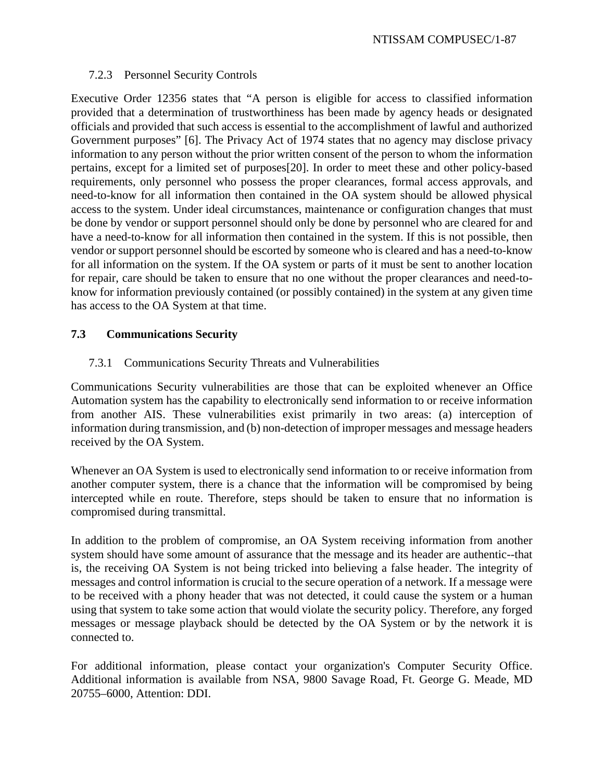## 7.2.3 Personnel Security Controls

Executive Order 12356 states that "A person is eligible for access to classified information provided that a determination of trustworthiness has been made by agency heads or designated officials and provided that such access is essential to the accomplishment of lawful and authorized Government purposes" [6]. The Privacy Act of 1974 states that no agency may disclose privacy information to any person without the prior written consent of the person to whom the information pertains, except for a limited set of purposes[20]. In order to meet these and other policy-based requirements, only personnel who possess the proper clearances, formal access approvals, and need-to-know for all information then contained in the OA system should be allowed physical access to the system. Under ideal circumstances, maintenance or configuration changes that must be done by vendor or support personnel should only be done by personnel who are cleared for and have a need-to-know for all information then contained in the system. If this is not possible, then vendor or support personnel should be escorted by someone who is cleared and has a need-to-know for all information on the system. If the OA system or parts of it must be sent to another location for repair, care should be taken to ensure that no one without the proper clearances and need-toknow for information previously contained (or possibly contained) in the system at any given time has access to the OA System at that time.

# **7.3 Communications Security**

# 7.3.1 Communications Security Threats and Vulnerabilities

Communications Security vulnerabilities are those that can be exploited whenever an Office Automation system has the capability to electronically send information to or receive information from another AIS. These vulnerabilities exist primarily in two areas: (a) interception of information during transmission, and (b) non-detection of improper messages and message headers received by the OA System.

Whenever an OA System is used to electronically send information to or receive information from another computer system, there is a chance that the information will be compromised by being intercepted while en route. Therefore, steps should be taken to ensure that no information is compromised during transmittal.

In addition to the problem of compromise, an OA System receiving information from another system should have some amount of assurance that the message and its header are authentic--that is, the receiving OA System is not being tricked into believing a false header. The integrity of messages and control information is crucial to the secure operation of a network. If a message were to be received with a phony header that was not detected, it could cause the system or a human using that system to take some action that would violate the security policy. Therefore, any forged messages or message playback should be detected by the OA System or by the network it is connected to.

For additional information, please contact your organization's Computer Security Office. Additional information is available from NSA, 9800 Savage Road, Ft. George G. Meade, MD 20755–6000, Attention: DDI.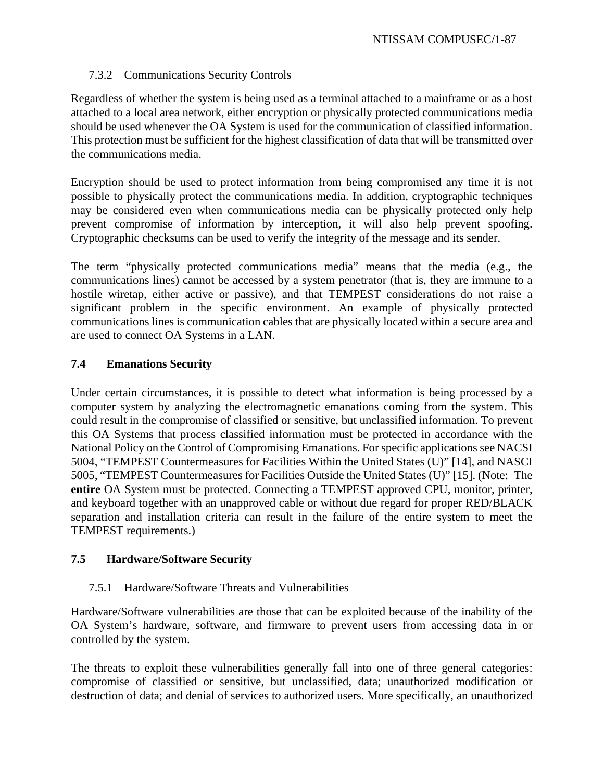# 7.3.2 Communications Security Controls

Regardless of whether the system is being used as a terminal attached to a mainframe or as a host attached to a local area network, either encryption or physically protected communications media should be used whenever the OA System is used for the communication of classified information. This protection must be sufficient for the highest classification of data that will be transmitted over the communications media.

Encryption should be used to protect information from being compromised any time it is not possible to physically protect the communications media. In addition, cryptographic techniques may be considered even when communications media can be physically protected only help prevent compromise of information by interception, it will also help prevent spoofing. Cryptographic checksums can be used to verify the integrity of the message and its sender.

The term "physically protected communications media" means that the media (e.g., the communications lines) cannot be accessed by a system penetrator (that is, they are immune to a hostile wiretap, either active or passive), and that TEMPEST considerations do not raise a significant problem in the specific environment. An example of physically protected communications lines is communication cables that are physically located within a secure area and are used to connect OA Systems in a LAN.

# **7.4 Emanations Security**

Under certain circumstances, it is possible to detect what information is being processed by a computer system by analyzing the electromagnetic emanations coming from the system. This could result in the compromise of classified or sensitive, but unclassified information. To prevent this OA Systems that process classified information must be protected in accordance with the National Policy on the Control of Compromising Emanations. For specific applications see NACSI 5004, "TEMPEST Countermeasures for Facilities Within the United States (U)" [14], and NASCI 5005, "TEMPEST Countermeasures for Facilities Outside the United States (U)" [15]. (Note: The **entire** OA System must be protected. Connecting a TEMPEST approved CPU, monitor, printer, and keyboard together with an unapproved cable or without due regard for proper RED/BLACK separation and installation criteria can result in the failure of the entire system to meet the TEMPEST requirements.)

## **7.5 Hardware/Software Security**

## 7.5.1 Hardware/Software Threats and Vulnerabilities

Hardware/Software vulnerabilities are those that can be exploited because of the inability of the OA System's hardware, software, and firmware to prevent users from accessing data in or controlled by the system.

The threats to exploit these vulnerabilities generally fall into one of three general categories: compromise of classified or sensitive, but unclassified, data; unauthorized modification or destruction of data; and denial of services to authorized users. More specifically, an unauthorized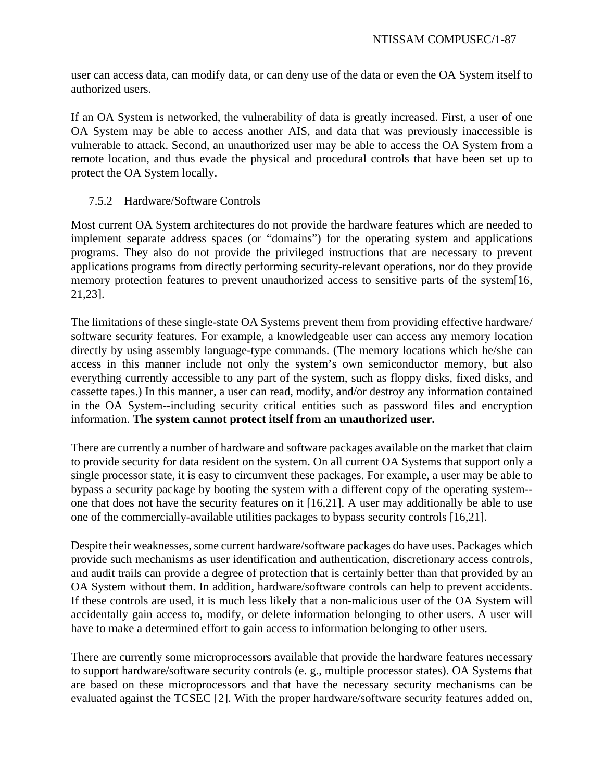user can access data, can modify data, or can deny use of the data or even the OA System itself to authorized users.

If an OA System is networked, the vulnerability of data is greatly increased. First, a user of one OA System may be able to access another AIS, and data that was previously inaccessible is vulnerable to attack. Second, an unauthorized user may be able to access the OA System from a remote location, and thus evade the physical and procedural controls that have been set up to protect the OA System locally.

# 7.5.2 Hardware/Software Controls

Most current OA System architectures do not provide the hardware features which are needed to implement separate address spaces (or "domains") for the operating system and applications programs. They also do not provide the privileged instructions that are necessary to prevent applications programs from directly performing security-relevant operations, nor do they provide memory protection features to prevent unauthorized access to sensitive parts of the system[16, 21,23].

The limitations of these single-state OA Systems prevent them from providing effective hardware/ software security features. For example, a knowledgeable user can access any memory location directly by using assembly language-type commands. (The memory locations which he/she can access in this manner include not only the system's own semiconductor memory, but also everything currently accessible to any part of the system, such as floppy disks, fixed disks, and cassette tapes.) In this manner, a user can read, modify, and/or destroy any information contained in the OA System--including security critical entities such as password files and encryption information. **The system cannot protect itself from an unauthorized user.**

There are currently a number of hardware and software packages available on the market that claim to provide security for data resident on the system. On all current OA Systems that support only a single processor state, it is easy to circumvent these packages. For example, a user may be able to bypass a security package by booting the system with a different copy of the operating system- one that does not have the security features on it [16,21]. A user may additionally be able to use one of the commercially-available utilities packages to bypass security controls [16,21].

Despite their weaknesses, some current hardware/software packages do have uses. Packages which provide such mechanisms as user identification and authentication, discretionary access controls, and audit trails can provide a degree of protection that is certainly better than that provided by an OA System without them. In addition, hardware/software controls can help to prevent accidents. If these controls are used, it is much less likely that a non-malicious user of the OA System will accidentally gain access to, modify, or delete information belonging to other users. A user will have to make a determined effort to gain access to information belonging to other users.

There are currently some microprocessors available that provide the hardware features necessary to support hardware/software security controls (e. g., multiple processor states). OA Systems that are based on these microprocessors and that have the necessary security mechanisms can be evaluated against the TCSEC [2]. With the proper hardware/software security features added on,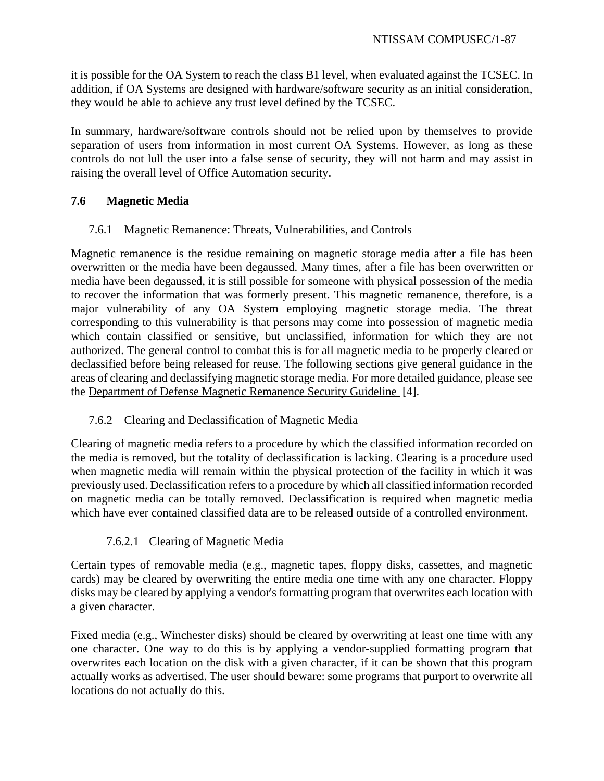it is possible for the OA System to reach the class B1 level, when evaluated against the TCSEC. In addition, if OA Systems are designed with hardware/software security as an initial consideration, they would be able to achieve any trust level defined by the TCSEC.

In summary, hardware/software controls should not be relied upon by themselves to provide separation of users from information in most current OA Systems. However, as long as these controls do not lull the user into a false sense of security, they will not harm and may assist in raising the overall level of Office Automation security.

# **7.6 Magnetic Media**

7.6.1 Magnetic Remanence: Threats, Vulnerabilities, and Controls

Magnetic remanence is the residue remaining on magnetic storage media after a file has been overwritten or the media have been degaussed. Many times, after a file has been overwritten or media have been degaussed, it is still possible for someone with physical possession of the media to recover the information that was formerly present. This magnetic remanence, therefore, is a major vulnerability of any OA System employing magnetic storage media. The threat corresponding to this vulnerability is that persons may come into possession of magnetic media which contain classified or sensitive, but unclassified, information for which they are not authorized. The general control to combat this is for all magnetic media to be properly cleared or declassified before being released for reuse. The following sections give general guidance in the areas of clearing and declassifying magnetic storage media. For more detailed guidance, please see the Department of Defense Magnetic Remanence Security Guideline [4].

# 7.6.2 Clearing and Declassification of Magnetic Media

Clearing of magnetic media refers to a procedure by which the classified information recorded on the media is removed, but the totality of declassification is lacking. Clearing is a procedure used when magnetic media will remain within the physical protection of the facility in which it was previously used. Declassification refers to a procedure by which all classified information recorded on magnetic media can be totally removed. Declassification is required when magnetic media which have ever contained classified data are to be released outside of a controlled environment.

# 7.6.2.1 Clearing of Magnetic Media

Certain types of removable media (e.g., magnetic tapes, floppy disks, cassettes, and magnetic cards) may be cleared by overwriting the entire media one time with any one character. Floppy disks may be cleared by applying a vendor's formatting program that overwrites each location with a given character.

Fixed media (e.g., Winchester disks) should be cleared by overwriting at least one time with any one character. One way to do this is by applying a vendor-supplied formatting program that overwrites each location on the disk with a given character, if it can be shown that this program actually works as advertised. The user should beware: some programs that purport to overwrite all locations do not actually do this.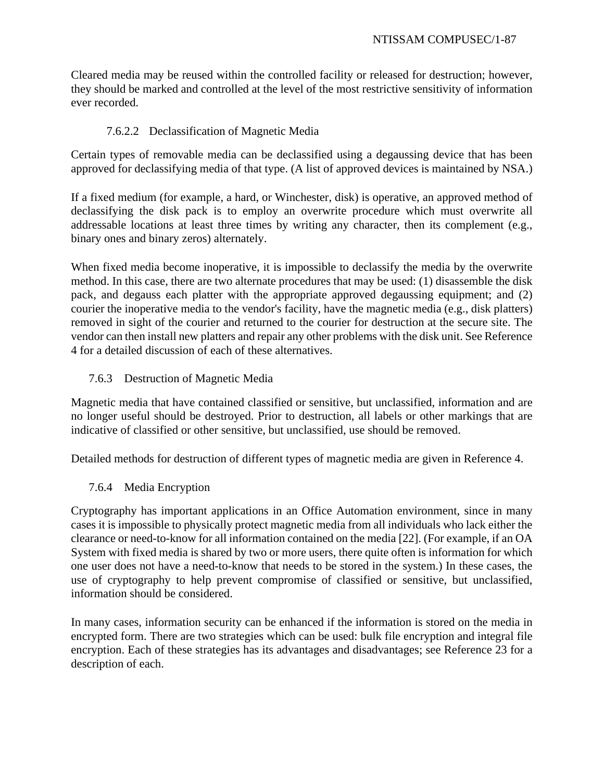Cleared media may be reused within the controlled facility or released for destruction; however, they should be marked and controlled at the level of the most restrictive sensitivity of information ever recorded.

# 7.6.2.2 Declassification of Magnetic Media

Certain types of removable media can be declassified using a degaussing device that has been approved for declassifying media of that type. (A list of approved devices is maintained by NSA.)

If a fixed medium (for example, a hard, or Winchester, disk) is operative, an approved method of declassifying the disk pack is to employ an overwrite procedure which must overwrite all addressable locations at least three times by writing any character, then its complement (e.g., binary ones and binary zeros) alternately.

When fixed media become inoperative, it is impossible to declassify the media by the overwrite method. In this case, there are two alternate procedures that may be used: (1) disassemble the disk pack, and degauss each platter with the appropriate approved degaussing equipment; and (2) courier the inoperative media to the vendor's facility, have the magnetic media (e.g., disk platters) removed in sight of the courier and returned to the courier for destruction at the secure site. The vendor can then install new platters and repair any other problems with the disk unit. See Reference 4 for a detailed discussion of each of these alternatives.

# 7.6.3 Destruction of Magnetic Media

Magnetic media that have contained classified or sensitive, but unclassified, information and are no longer useful should be destroyed. Prior to destruction, all labels or other markings that are indicative of classified or other sensitive, but unclassified, use should be removed.

Detailed methods for destruction of different types of magnetic media are given in Reference 4.

# 7.6.4 Media Encryption

Cryptography has important applications in an Office Automation environment, since in many cases it is impossible to physically protect magnetic media from all individuals who lack either the clearance or need-to-know for all information contained on the media [22]. (For example, if an OA System with fixed media is shared by two or more users, there quite often is information for which one user does not have a need-to-know that needs to be stored in the system.) In these cases, the use of cryptography to help prevent compromise of classified or sensitive, but unclassified, information should be considered.

In many cases, information security can be enhanced if the information is stored on the media in encrypted form. There are two strategies which can be used: bulk file encryption and integral file encryption. Each of these strategies has its advantages and disadvantages; see Reference 23 for a description of each.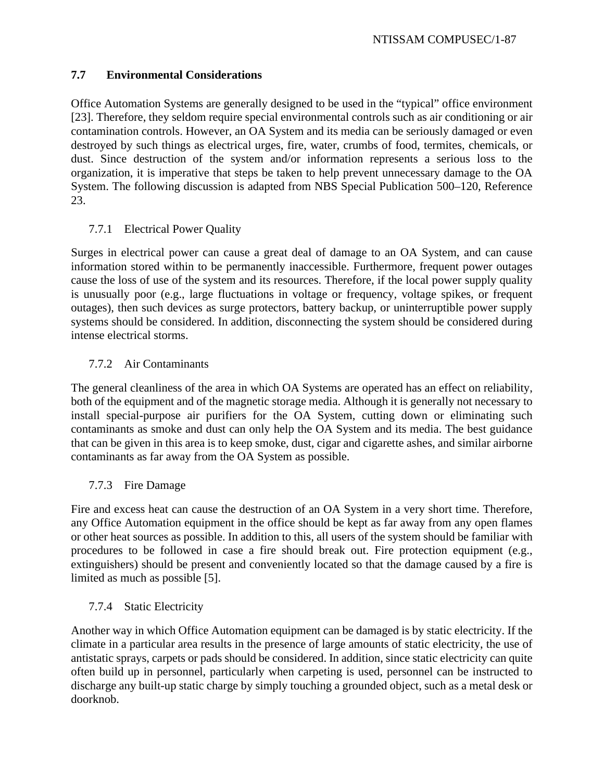# **7.7 Environmental Considerations**

Office Automation Systems are generally designed to be used in the "typical" office environment [23]. Therefore, they seldom require special environmental controls such as air conditioning or air contamination controls. However, an OA System and its media can be seriously damaged or even destroyed by such things as electrical urges, fire, water, crumbs of food, termites, chemicals, or dust. Since destruction of the system and/or information represents a serious loss to the organization, it is imperative that steps be taken to help prevent unnecessary damage to the OA System. The following discussion is adapted from NBS Special Publication 500–120, Reference 23.

# 7.7.1 Electrical Power Quality

Surges in electrical power can cause a great deal of damage to an OA System, and can cause information stored within to be permanently inaccessible. Furthermore, frequent power outages cause the loss of use of the system and its resources. Therefore, if the local power supply quality is unusually poor (e.g., large fluctuations in voltage or frequency, voltage spikes, or frequent outages), then such devices as surge protectors, battery backup, or uninterruptible power supply systems should be considered. In addition, disconnecting the system should be considered during intense electrical storms.

# 7.7.2 Air Contaminants

The general cleanliness of the area in which OA Systems are operated has an effect on reliability, both of the equipment and of the magnetic storage media. Although it is generally not necessary to install special-purpose air purifiers for the OA System, cutting down or eliminating such contaminants as smoke and dust can only help the OA System and its media. The best guidance that can be given in this area is to keep smoke, dust, cigar and cigarette ashes, and similar airborne contaminants as far away from the OA System as possible.

# 7.7.3 Fire Damage

Fire and excess heat can cause the destruction of an OA System in a very short time. Therefore, any Office Automation equipment in the office should be kept as far away from any open flames or other heat sources as possible. In addition to this, all users of the system should be familiar with procedures to be followed in case a fire should break out. Fire protection equipment (e.g., extinguishers) should be present and conveniently located so that the damage caused by a fire is limited as much as possible [5].

# 7.7.4 Static Electricity

Another way in which Office Automation equipment can be damaged is by static electricity. If the climate in a particular area results in the presence of large amounts of static electricity, the use of antistatic sprays, carpets or pads should be considered. In addition, since static electricity can quite often build up in personnel, particularly when carpeting is used, personnel can be instructed to discharge any built-up static charge by simply touching a grounded object, such as a metal desk or doorknob.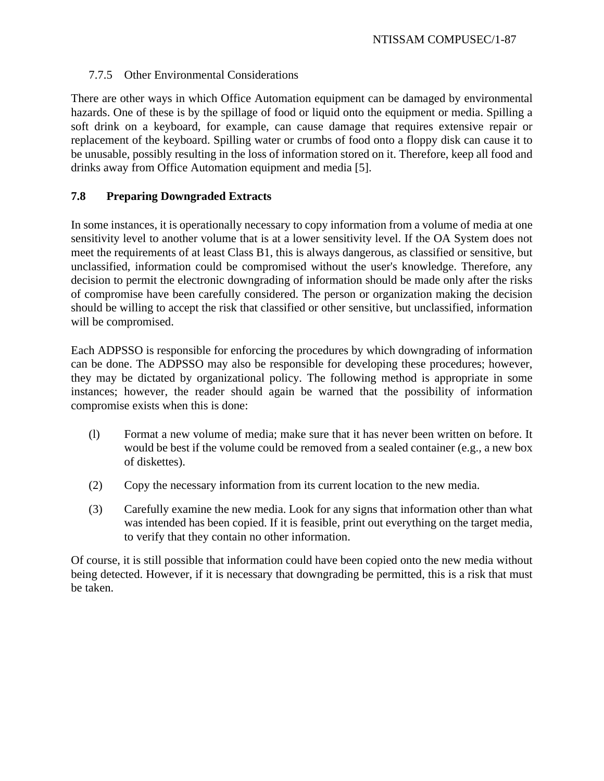# 7.7.5 Other Environmental Considerations

There are other ways in which Office Automation equipment can be damaged by environmental hazards. One of these is by the spillage of food or liquid onto the equipment or media. Spilling a soft drink on a keyboard, for example, can cause damage that requires extensive repair or replacement of the keyboard. Spilling water or crumbs of food onto a floppy disk can cause it to be unusable, possibly resulting in the loss of information stored on it. Therefore, keep all food and drinks away from Office Automation equipment and media [5].

# **7.8 Preparing Downgraded Extracts**

In some instances, it is operationally necessary to copy information from a volume of media at one sensitivity level to another volume that is at a lower sensitivity level. If the OA System does not meet the requirements of at least Class B1, this is always dangerous, as classified or sensitive, but unclassified, information could be compromised without the user's knowledge. Therefore, any decision to permit the electronic downgrading of information should be made only after the risks of compromise have been carefully considered. The person or organization making the decision should be willing to accept the risk that classified or other sensitive, but unclassified, information will be compromised.

Each ADPSSO is responsible for enforcing the procedures by which downgrading of information can be done. The ADPSSO may also be responsible for developing these procedures; however, they may be dictated by organizational policy. The following method is appropriate in some instances; however, the reader should again be warned that the possibility of information compromise exists when this is done:

- (l) Format a new volume of media; make sure that it has never been written on before. It would be best if the volume could be removed from a sealed container (e.g., a new box of diskettes).
- (2) Copy the necessary information from its current location to the new media.
- (3) Carefully examine the new media. Look for any signs that information other than what was intended has been copied. If it is feasible, print out everything on the target media, to verify that they contain no other information.

Of course, it is still possible that information could have been copied onto the new media without being detected. However, if it is necessary that downgrading be permitted, this is a risk that must be taken.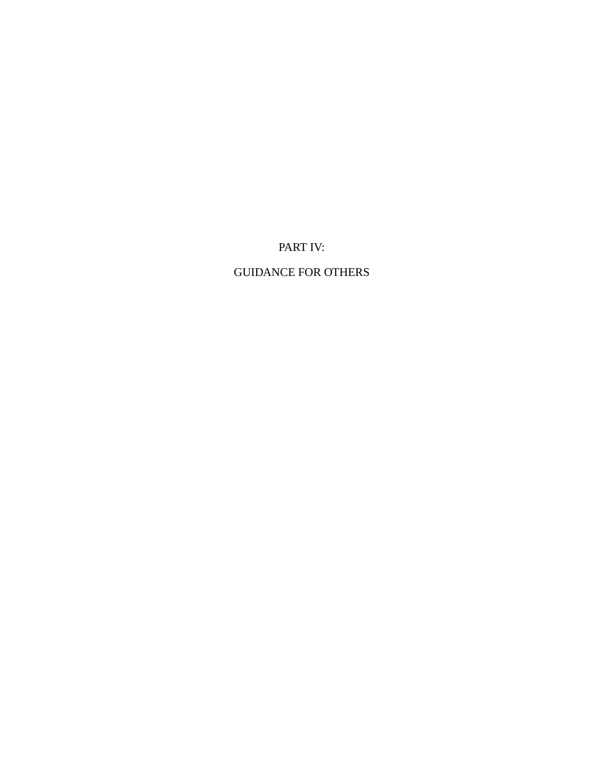PART IV:

GUIDANCE FOR OTHERS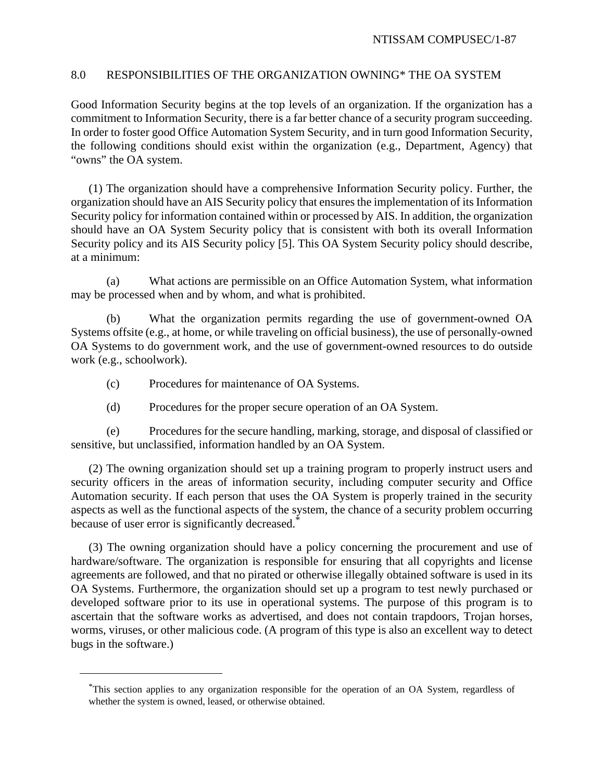## 8.0 RESPONSIBILITIES OF THE ORGANIZATION OWNING\* THE OA SYSTEM

Good Information Security begins at the top levels of an organization. If the organization has a commitment to Information Security, there is a far better chance of a security program succeeding. In order to foster good Office Automation System Security, and in turn good Information Security, the following conditions should exist within the organization (e.g., Department, Agency) that "owns" the OA system.

(1) The organization should have a comprehensive Information Security policy. Further, the organization should have an AIS Security policy that ensures the implementation of its Information Security policy for information contained within or processed by AIS. In addition, the organization should have an OA System Security policy that is consistent with both its overall Information Security policy and its AIS Security policy [5]. This OA System Security policy should describe, at a minimum:

(a) What actions are permissible on an Office Automation System, what information may be processed when and by whom, and what is prohibited.

(b) What the organization permits regarding the use of government-owned OA Systems offsite (e.g., at home, or while traveling on official business), the use of personally-owned OA Systems to do government work, and the use of government-owned resources to do outside work (e.g., schoolwork).

- (c) Procedures for maintenance of OA Systems.
- (d) Procedures for the proper secure operation of an OA System.

(e) Procedures for the secure handling, marking, storage, and disposal of classified or sensitive, but unclassified, information handled by an OA System.

(2) The owning organization should set up a training program to properly instruct users and security officers in the areas of information security, including computer security and Office Automation security. If each person that uses the OA System is properly trained in the security aspects as well as the functional aspects of the system, the chance of a security problem occurring because of user error is significantly decreased.<sup>\*</sup>

(3) The owning organization should have a policy concerning the procurement and use of hardware/software. The organization is responsible for ensuring that all copyrights and license agreements are followed, and that no pirated or otherwise illegally obtained software is used in its OA Systems. Furthermore, the organization should set up a program to test newly purchased or developed software prior to its use in operational systems. The purpose of this program is to ascertain that the software works as advertised, and does not contain trapdoors, Trojan horses, worms, viruses, or other malicious code. (A program of this type is also an excellent way to detect bugs in the software.)

<sup>\*</sup>This section applies to any organization responsible for the operation of an OA System, regardless of whether the system is owned, leased, or otherwise obtained.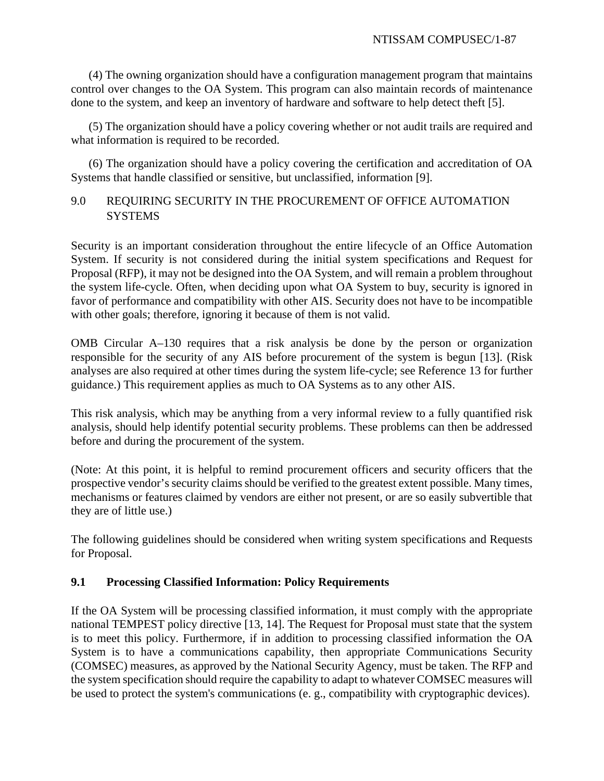(4) The owning organization should have a configuration management program that maintains control over changes to the OA System. This program can also maintain records of maintenance done to the system, and keep an inventory of hardware and software to help detect theft [5].

(5) The organization should have a policy covering whether or not audit trails are required and what information is required to be recorded.

(6) The organization should have a policy covering the certification and accreditation of OA Systems that handle classified or sensitive, but unclassified, information [9].

# 9.0 REQUIRING SECURITY IN THE PROCUREMENT OF OFFICE AUTOMATION **SYSTEMS**

Security is an important consideration throughout the entire lifecycle of an Office Automation System. If security is not considered during the initial system specifications and Request for Proposal (RFP), it may not be designed into the OA System, and will remain a problem throughout the system life-cycle. Often, when deciding upon what OA System to buy, security is ignored in favor of performance and compatibility with other AIS. Security does not have to be incompatible with other goals; therefore, ignoring it because of them is not valid.

OMB Circular A–130 requires that a risk analysis be done by the person or organization responsible for the security of any AIS before procurement of the system is begun [13]. (Risk analyses are also required at other times during the system life-cycle; see Reference 13 for further guidance.) This requirement applies as much to OA Systems as to any other AIS.

This risk analysis, which may be anything from a very informal review to a fully quantified risk analysis, should help identify potential security problems. These problems can then be addressed before and during the procurement of the system.

(Note: At this point, it is helpful to remind procurement officers and security officers that the prospective vendor's security claims should be verified to the greatest extent possible. Many times, mechanisms or features claimed by vendors are either not present, or are so easily subvertible that they are of little use.)

The following guidelines should be considered when writing system specifications and Requests for Proposal.

# **9.1 Processing Classified Information: Policy Requirements**

If the OA System will be processing classified information, it must comply with the appropriate national TEMPEST policy directive [13, 14]. The Request for Proposal must state that the system is to meet this policy. Furthermore, if in addition to processing classified information the OA System is to have a communications capability, then appropriate Communications Security (COMSEC) measures, as approved by the National Security Agency, must be taken. The RFP and the system specification should require the capability to adapt to whatever COMSEC measures will be used to protect the system's communications (e. g., compatibility with cryptographic devices).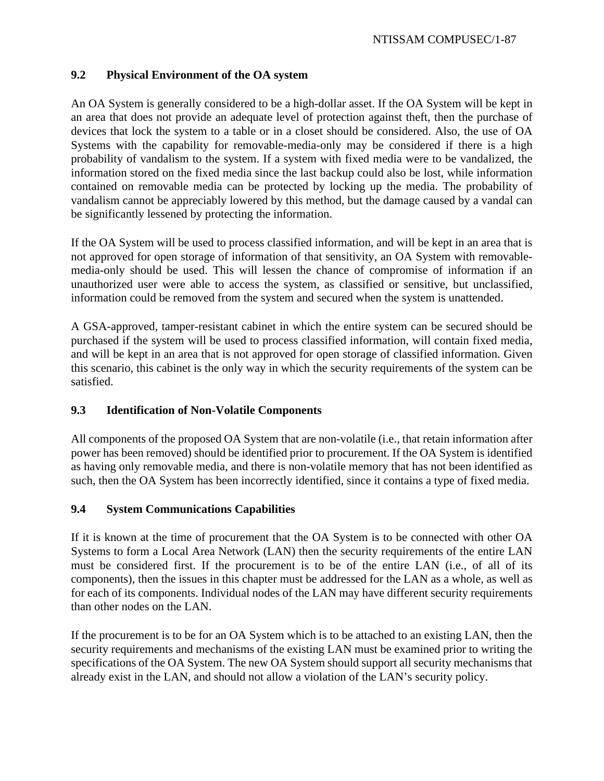# **9.2 Physical Environment of the OA system**

An OA System is generally considered to be a high-dollar asset. If the OA System will be kept in an area that does not provide an adequate level of protection against theft, then the purchase of devices that lock the system to a table or in a closet should be considered. Also, the use of OA Systems with the capability for removable-media-only may be considered if there is a high probability of vandalism to the system. If a system with fixed media were to be vandalized, the information stored on the fixed media since the last backup could also be lost, while information contained on removable media can be protected by locking up the media. The probability of vandalism cannot be appreciably lowered by this method, but the damage caused by a vandal can be significantly lessened by protecting the information.

If the OA System will be used to process classified information, and will be kept in an area that is not approved for open storage of information of that sensitivity, an OA System with removablemedia-only should be used. This will lessen the chance of compromise of information if an unauthorized user were able to access the system, as classified or sensitive, but unclassified, information could be removed from the system and secured when the system is unattended.

A GSA-approved, tamper-resistant cabinet in which the entire system can be secured should be purchased if the system will be used to process classified information, will contain fixed media, and will be kept in an area that is not approved for open storage of classified information. Given this scenario, this cabinet is the only way in which the security requirements of the system can be satisfied.

# **9.3 Identification of Non-Volatile Components**

All components of the proposed OA System that are non-volatile (i.e., that retain information after power has been removed) should be identified prior to procurement. If the OA System is identified as having only removable media, and there is non-volatile memory that has not been identified as such, then the OA System has been incorrectly identified, since it contains a type of fixed media.

# **9.4 System Communications Capabilities**

If it is known at the time of procurement that the OA System is to be connected with other OA Systems to form a Local Area Network (LAN) then the security requirements of the entire LAN must be considered first. If the procurement is to be of the entire LAN (i.e., of all of its components), then the issues in this chapter must be addressed for the LAN as a whole, as well as for each of its components. Individual nodes of the LAN may have different security requirements than other nodes on the LAN.

If the procurement is to be for an OA System which is to be attached to an existing LAN, then the security requirements and mechanisms of the existing LAN must be examined prior to writing the specifications of the OA System. The new OA System should support all security mechanisms that already exist in the LAN, and should not allow a violation of the LAN's security policy.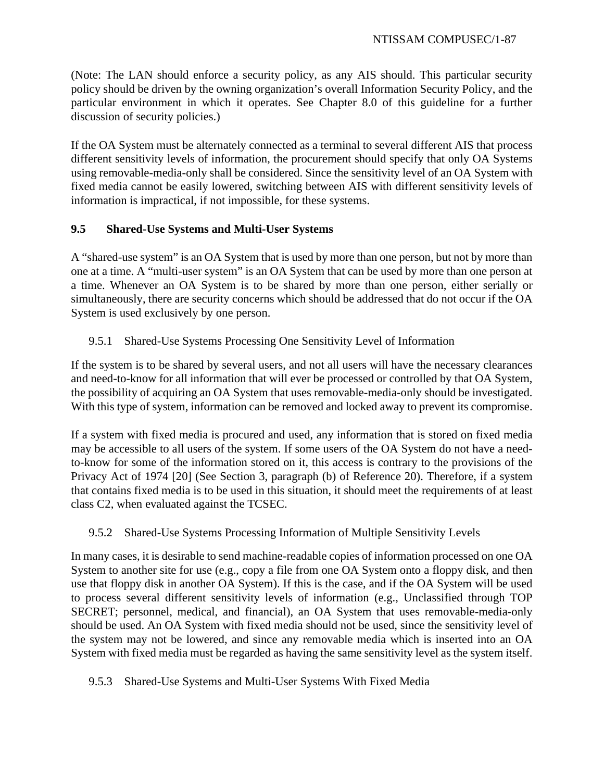(Note: The LAN should enforce a security policy, as any AIS should. This particular security policy should be driven by the owning organization's overall Information Security Policy, and the particular environment in which it operates. See Chapter 8.0 of this guideline for a further discussion of security policies.)

If the OA System must be alternately connected as a terminal to several different AIS that process different sensitivity levels of information, the procurement should specify that only OA Systems using removable-media-only shall be considered. Since the sensitivity level of an OA System with fixed media cannot be easily lowered, switching between AIS with different sensitivity levels of information is impractical, if not impossible, for these systems.

# **9.5 Shared-Use Systems and Multi-User Systems**

A "shared-use system" is an OA System that is used by more than one person, but not by more than one at a time. A "multi-user system" is an OA System that can be used by more than one person at a time. Whenever an OA System is to be shared by more than one person, either serially or simultaneously, there are security concerns which should be addressed that do not occur if the OA System is used exclusively by one person.

# 9.5.1 Shared-Use Systems Processing One Sensitivity Level of Information

If the system is to be shared by several users, and not all users will have the necessary clearances and need-to-know for all information that will ever be processed or controlled by that OA System, the possibility of acquiring an OA System that uses removable-media-only should be investigated. With this type of system, information can be removed and locked away to prevent its compromise.

If a system with fixed media is procured and used, any information that is stored on fixed media may be accessible to all users of the system. If some users of the OA System do not have a needto-know for some of the information stored on it, this access is contrary to the provisions of the Privacy Act of 1974 [20] (See Section 3, paragraph (b) of Reference 20). Therefore, if a system that contains fixed media is to be used in this situation, it should meet the requirements of at least class C2, when evaluated against the TCSEC.

# 9.5.2 Shared-Use Systems Processing Information of Multiple Sensitivity Levels

In many cases, it is desirable to send machine-readable copies of information processed on one OA System to another site for use (e.g., copy a file from one OA System onto a floppy disk, and then use that floppy disk in another OA System). If this is the case, and if the OA System will be used to process several different sensitivity levels of information (e.g., Unclassified through TOP SECRET; personnel, medical, and financial), an OA System that uses removable-media-only should be used. An OA System with fixed media should not be used, since the sensitivity level of the system may not be lowered, and since any removable media which is inserted into an OA System with fixed media must be regarded as having the same sensitivity level as the system itself.

# 9.5.3 Shared-Use Systems and Multi-User Systems With Fixed Media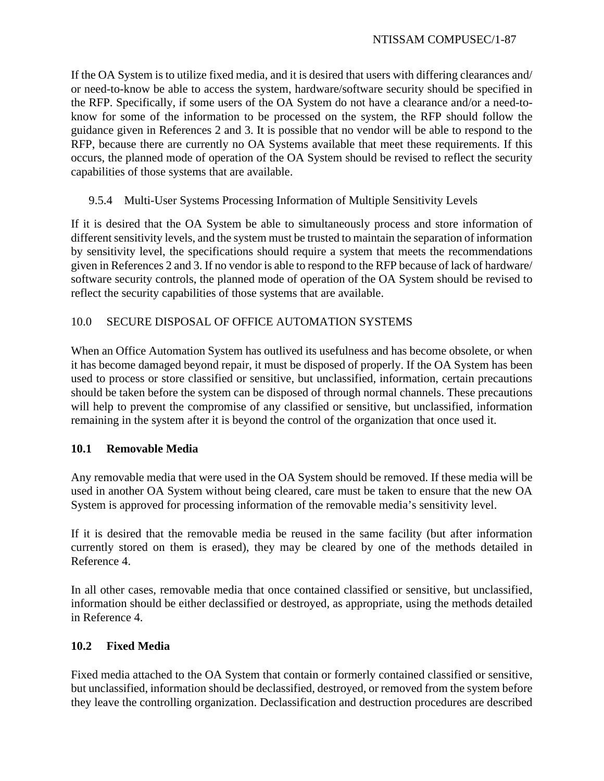If the OA System is to utilize fixed media, and it is desired that users with differing clearances and/ or need-to-know be able to access the system, hardware/software security should be specified in the RFP. Specifically, if some users of the OA System do not have a clearance and/or a need-toknow for some of the information to be processed on the system, the RFP should follow the guidance given in References 2 and 3. It is possible that no vendor will be able to respond to the RFP, because there are currently no OA Systems available that meet these requirements. If this occurs, the planned mode of operation of the OA System should be revised to reflect the security capabilities of those systems that are available.

# 9.5.4 Multi-User Systems Processing Information of Multiple Sensitivity Levels

If it is desired that the OA System be able to simultaneously process and store information of different sensitivity levels, and the system must be trusted to maintain the separation of information by sensitivity level, the specifications should require a system that meets the recommendations given in References 2 and 3. If no vendor is able to respond to the RFP because of lack of hardware/ software security controls, the planned mode of operation of the OA System should be revised to reflect the security capabilities of those systems that are available.

# 10.0 SECURE DISPOSAL OF OFFICE AUTOMATION SYSTEMS

When an Office Automation System has outlived its usefulness and has become obsolete, or when it has become damaged beyond repair, it must be disposed of properly. If the OA System has been used to process or store classified or sensitive, but unclassified, information, certain precautions should be taken before the system can be disposed of through normal channels. These precautions will help to prevent the compromise of any classified or sensitive, but unclassified, information remaining in the system after it is beyond the control of the organization that once used it.

## **10.1 Removable Media**

Any removable media that were used in the OA System should be removed. If these media will be used in another OA System without being cleared, care must be taken to ensure that the new OA System is approved for processing information of the removable media's sensitivity level.

If it is desired that the removable media be reused in the same facility (but after information currently stored on them is erased), they may be cleared by one of the methods detailed in Reference 4.

In all other cases, removable media that once contained classified or sensitive, but unclassified, information should be either declassified or destroyed, as appropriate, using the methods detailed in Reference 4.

# **10.2 Fixed Media**

Fixed media attached to the OA System that contain or formerly contained classified or sensitive, but unclassified, information should be declassified, destroyed, or removed from the system before they leave the controlling organization. Declassification and destruction procedures are described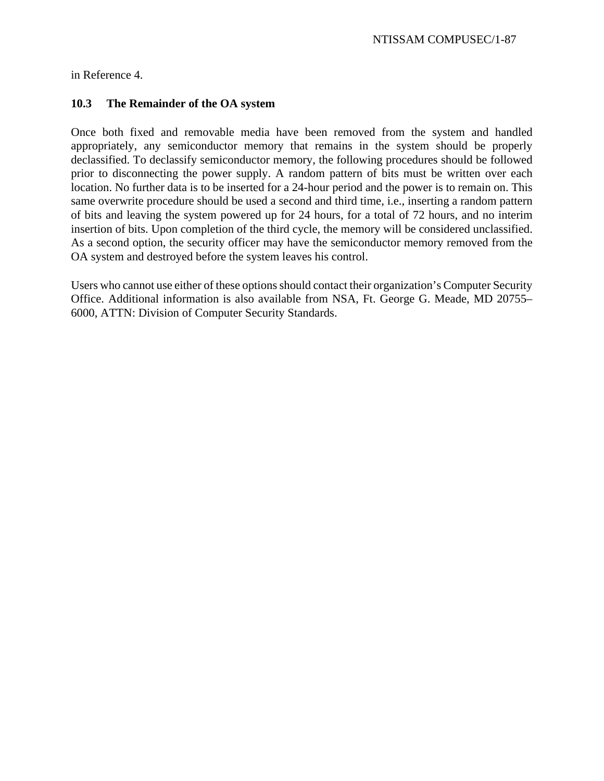in Reference 4.

# **10.3 The Remainder of the OA system**

Once both fixed and removable media have been removed from the system and handled appropriately, any semiconductor memory that remains in the system should be properly declassified. To declassify semiconductor memory, the following procedures should be followed prior to disconnecting the power supply. A random pattern of bits must be written over each location. No further data is to be inserted for a 24-hour period and the power is to remain on. This same overwrite procedure should be used a second and third time, i.e., inserting a random pattern of bits and leaving the system powered up for 24 hours, for a total of 72 hours, and no interim insertion of bits. Upon completion of the third cycle, the memory will be considered unclassified. As a second option, the security officer may have the semiconductor memory removed from the OA system and destroyed before the system leaves his control.

Users who cannot use either of these options should contact their organization's Computer Security Office. Additional information is also available from NSA, Ft. George G. Meade, MD 20755– 6000, ATTN: Division of Computer Security Standards.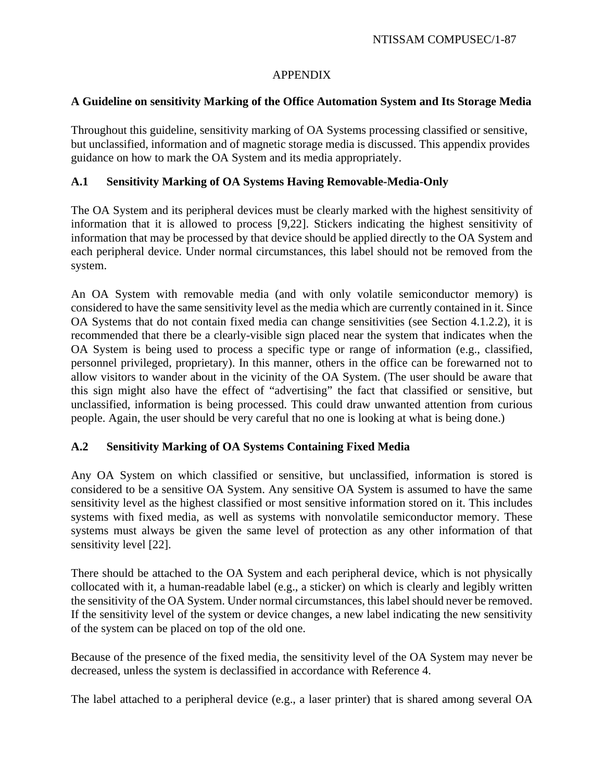# APPENDIX

# **A Guideline on sensitivity Marking of the Office Automation System and Its Storage Media**

Throughout this guideline, sensitivity marking of OA Systems processing classified or sensitive, but unclassified, information and of magnetic storage media is discussed. This appendix provides guidance on how to mark the OA System and its media appropriately.

# **A.1 Sensitivity Marking of OA Systems Having Removable-Media-Only**

The OA System and its peripheral devices must be clearly marked with the highest sensitivity of information that it is allowed to process [9,22]. Stickers indicating the highest sensitivity of information that may be processed by that device should be applied directly to the OA System and each peripheral device. Under normal circumstances, this label should not be removed from the system.

An OA System with removable media (and with only volatile semiconductor memory) is considered to have the same sensitivity level as the media which are currently contained in it. Since OA Systems that do not contain fixed media can change sensitivities (see Section 4.1.2.2), it is recommended that there be a clearly-visible sign placed near the system that indicates when the OA System is being used to process a specific type or range of information (e.g., classified, personnel privileged, proprietary). In this manner, others in the office can be forewarned not to allow visitors to wander about in the vicinity of the OA System. (The user should be aware that this sign might also have the effect of "advertising" the fact that classified or sensitive, but unclassified, information is being processed. This could draw unwanted attention from curious people. Again, the user should be very careful that no one is looking at what is being done.)

# **A.2 Sensitivity Marking of OA Systems Containing Fixed Media**

Any OA System on which classified or sensitive, but unclassified, information is stored is considered to be a sensitive OA System. Any sensitive OA System is assumed to have the same sensitivity level as the highest classified or most sensitive information stored on it. This includes systems with fixed media, as well as systems with nonvolatile semiconductor memory. These systems must always be given the same level of protection as any other information of that sensitivity level [22].

There should be attached to the OA System and each peripheral device, which is not physically collocated with it, a human-readable label (e.g., a sticker) on which is clearly and legibly written the sensitivity of the OA System. Under normal circumstances, this label should never be removed. If the sensitivity level of the system or device changes, a new label indicating the new sensitivity of the system can be placed on top of the old one.

Because of the presence of the fixed media, the sensitivity level of the OA System may never be decreased, unless the system is declassified in accordance with Reference 4.

The label attached to a peripheral device (e.g., a laser printer) that is shared among several OA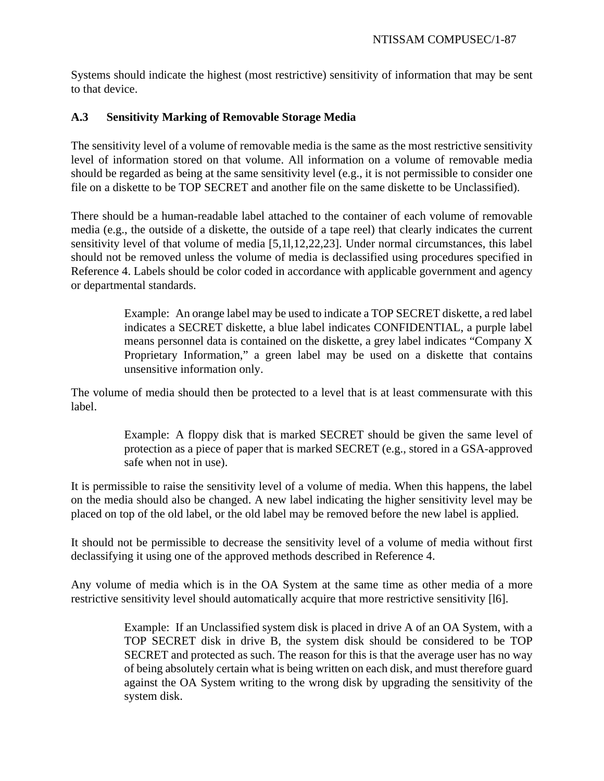Systems should indicate the highest (most restrictive) sensitivity of information that may be sent to that device.

# **A.3 Sensitivity Marking of Removable Storage Media**

The sensitivity level of a volume of removable media is the same as the most restrictive sensitivity level of information stored on that volume. All information on a volume of removable media should be regarded as being at the same sensitivity level (e.g., it is not permissible to consider one file on a diskette to be TOP SECRET and another file on the same diskette to be Unclassified).

There should be a human-readable label attached to the container of each volume of removable media (e.g., the outside of a diskette, the outside of a tape reel) that clearly indicates the current sensitivity level of that volume of media [5,1l,12,22,23]. Under normal circumstances, this label should not be removed unless the volume of media is declassified using procedures specified in Reference 4. Labels should be color coded in accordance with applicable government and agency or departmental standards.

> Example: An orange label may be used to indicate a TOP SECRET diskette, a red label indicates a SECRET diskette, a blue label indicates CONFIDENTIAL, a purple label means personnel data is contained on the diskette, a grey label indicates "Company X Proprietary Information," a green label may be used on a diskette that contains unsensitive information only.

The volume of media should then be protected to a level that is at least commensurate with this label.

> Example: A floppy disk that is marked SECRET should be given the same level of protection as a piece of paper that is marked SECRET (e.g., stored in a GSA-approved safe when not in use).

It is permissible to raise the sensitivity level of a volume of media. When this happens, the label on the media should also be changed. A new label indicating the higher sensitivity level may be placed on top of the old label, or the old label may be removed before the new label is applied.

It should not be permissible to decrease the sensitivity level of a volume of media without first declassifying it using one of the approved methods described in Reference 4.

Any volume of media which is in the OA System at the same time as other media of a more restrictive sensitivity level should automatically acquire that more restrictive sensitivity [l6].

> Example: If an Unclassified system disk is placed in drive A of an OA System, with a TOP SECRET disk in drive B, the system disk should be considered to be TOP SECRET and protected as such. The reason for this is that the average user has no way of being absolutely certain what is being written on each disk, and must therefore guard against the OA System writing to the wrong disk by upgrading the sensitivity of the system disk.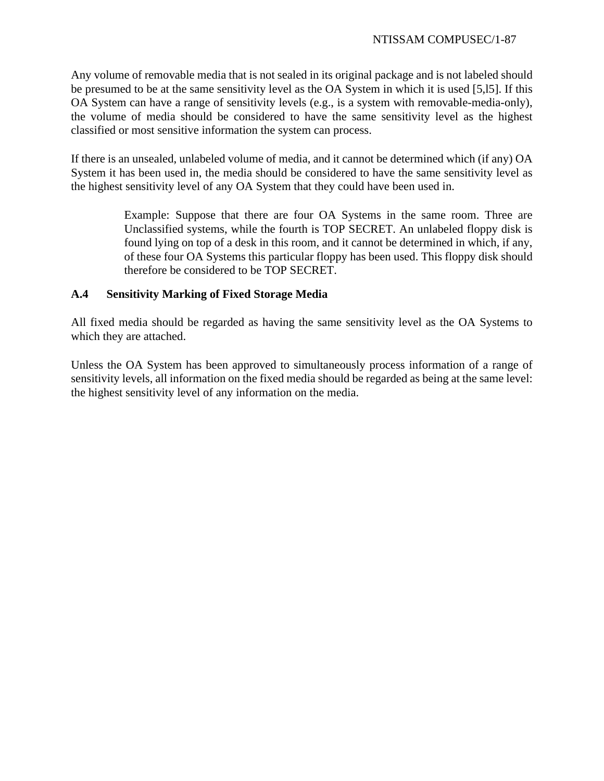Any volume of removable media that is not sealed in its original package and is not labeled should be presumed to be at the same sensitivity level as the OA System in which it is used [5,l5]. If this OA System can have a range of sensitivity levels (e.g., is a system with removable-media-only), the volume of media should be considered to have the same sensitivity level as the highest classified or most sensitive information the system can process.

If there is an unsealed, unlabeled volume of media, and it cannot be determined which (if any) OA System it has been used in, the media should be considered to have the same sensitivity level as the highest sensitivity level of any OA System that they could have been used in.

> Example: Suppose that there are four OA Systems in the same room. Three are Unclassified systems, while the fourth is TOP SECRET. An unlabeled floppy disk is found lying on top of a desk in this room, and it cannot be determined in which, if any, of these four OA Systems this particular floppy has been used. This floppy disk should therefore be considered to be TOP SECRET.

# **A.4 Sensitivity Marking of Fixed Storage Media**

All fixed media should be regarded as having the same sensitivity level as the OA Systems to which they are attached.

Unless the OA System has been approved to simultaneously process information of a range of sensitivity levels, all information on the fixed media should be regarded as being at the same level: the highest sensitivity level of any information on the media.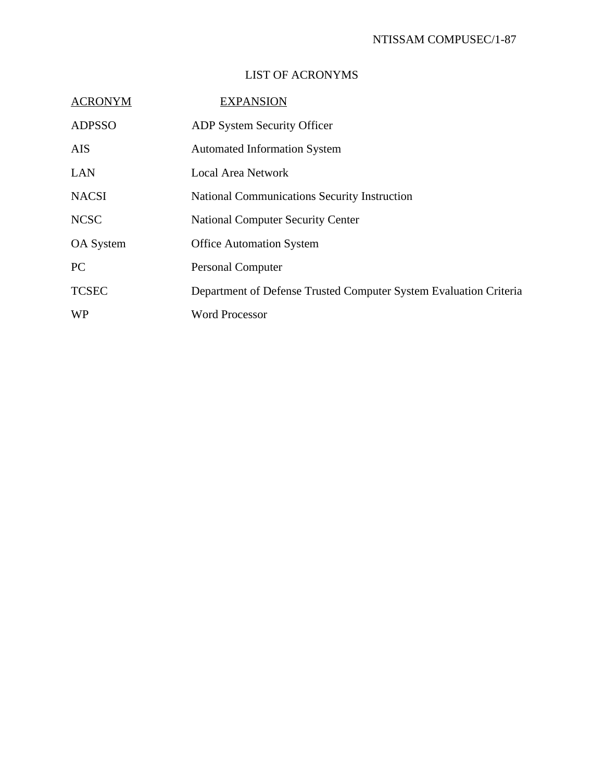# LIST OF ACRONYMS

| <b>ACRONYM</b> | <b>EXPANSION</b>                                                  |
|----------------|-------------------------------------------------------------------|
| <b>ADPSSO</b>  | <b>ADP System Security Officer</b>                                |
| <b>AIS</b>     | <b>Automated Information System</b>                               |
| LAN            | <b>Local Area Network</b>                                         |
| <b>NACSI</b>   | <b>National Communications Security Instruction</b>               |
| <b>NCSC</b>    | <b>National Computer Security Center</b>                          |
| OA System      | <b>Office Automation System</b>                                   |
| <b>PC</b>      | <b>Personal Computer</b>                                          |
| <b>TCSEC</b>   | Department of Defense Trusted Computer System Evaluation Criteria |
| <b>WP</b>      | <b>Word Processor</b>                                             |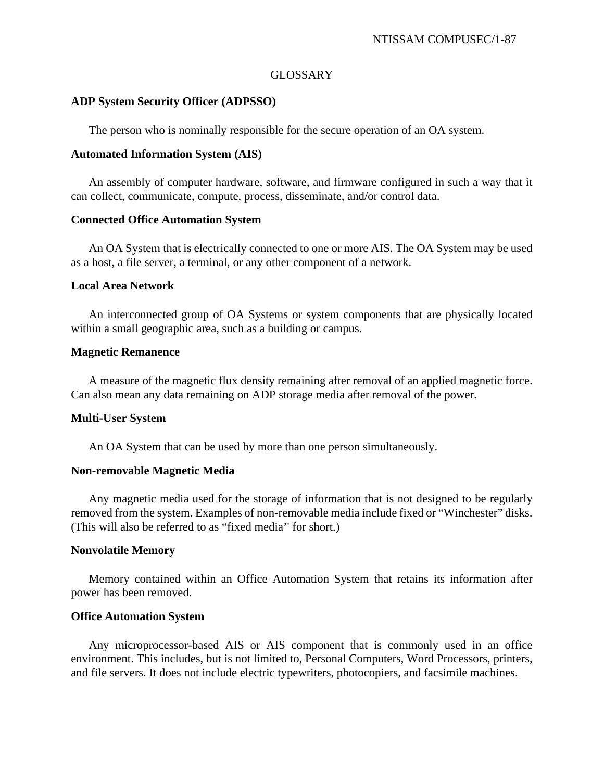#### GLOSSARY

#### **ADP System Security Officer (ADPSSO)**

The person who is nominally responsible for the secure operation of an OA system.

#### **Automated Information System (AIS)**

An assembly of computer hardware, software, and firmware configured in such a way that it can collect, communicate, compute, process, disseminate, and/or control data.

#### **Connected Office Automation System**

An OA System that is electrically connected to one or more AIS. The OA System may be used as a host, a file server, a terminal, or any other component of a network.

#### **Local Area Network**

An interconnected group of OA Systems or system components that are physically located within a small geographic area, such as a building or campus.

#### **Magnetic Remanence**

A measure of the magnetic flux density remaining after removal of an applied magnetic force. Can also mean any data remaining on ADP storage media after removal of the power.

## **Multi-User System**

An OA System that can be used by more than one person simultaneously.

#### **Non-removable Magnetic Media**

Any magnetic media used for the storage of information that is not designed to be regularly removed from the system. Examples of non-removable media include fixed or "Winchester" disks. (This will also be referred to as "fixed media'' for short.)

## **Nonvolatile Memory**

Memory contained within an Office Automation System that retains its information after power has been removed.

## **Office Automation System**

Any microprocessor-based AIS or AIS component that is commonly used in an office environment. This includes, but is not limited to, Personal Computers, Word Processors, printers, and file servers. It does not include electric typewriters, photocopiers, and facsimile machines.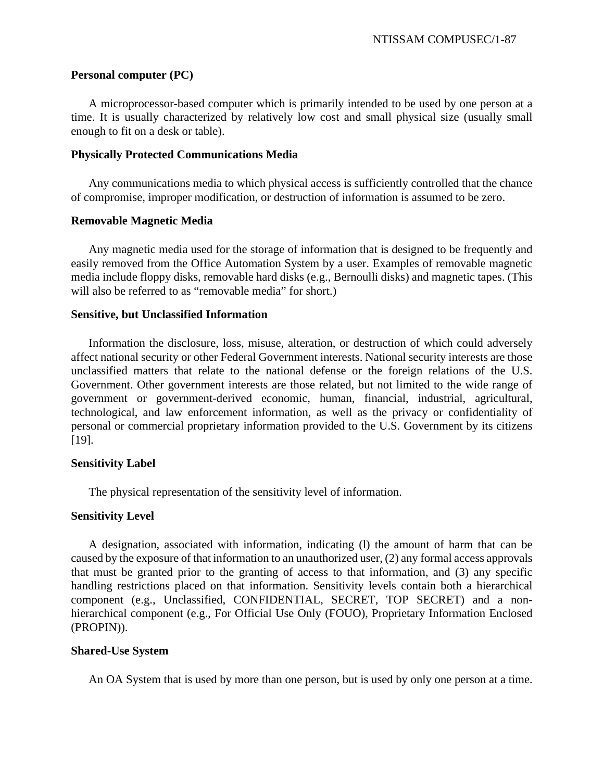#### **Personal computer (PC)**

A microprocessor-based computer which is primarily intended to be used by one person at a time. It is usually characterized by relatively low cost and small physical size (usually small enough to fit on a desk or table).

#### **Physically Protected Communications Media**

Any communications media to which physical access is sufficiently controlled that the chance of compromise, improper modification, or destruction of information is assumed to be zero.

#### **Removable Magnetic Media**

Any magnetic media used for the storage of information that is designed to be frequently and easily removed from the Office Automation System by a user. Examples of removable magnetic media include floppy disks, removable hard disks (e.g., Bernoulli disks) and magnetic tapes. (This will also be referred to as "removable media" for short.)

#### **Sensitive, but Unclassified Information**

Information the disclosure, loss, misuse, alteration, or destruction of which could adversely affect national security or other Federal Government interests. National security interests are those unclassified matters that relate to the national defense or the foreign relations of the U.S. Government. Other government interests are those related, but not limited to the wide range of government or government-derived economic, human, financial, industrial, agricultural, technological, and law enforcement information, as well as the privacy or confidentiality of personal or commercial proprietary information provided to the U.S. Government by its citizens [19].

## **Sensitivity Label**

The physical representation of the sensitivity level of information.

## **Sensitivity Level**

A designation, associated with information, indicating (l) the amount of harm that can be caused by the exposure of that information to an unauthorized user, (2) any formal access approvals that must be granted prior to the granting of access to that information, and (3) any specific handling restrictions placed on that information. Sensitivity levels contain both a hierarchical component (e.g., Unclassified, CONFIDENTIAL, SECRET, TOP SECRET) and a nonhierarchical component (e.g., For Official Use Only (FOUO), Proprietary Information Enclosed (PROPIN)).

## **Shared-Use System**

An OA System that is used by more than one person, but is used by only one person at a time.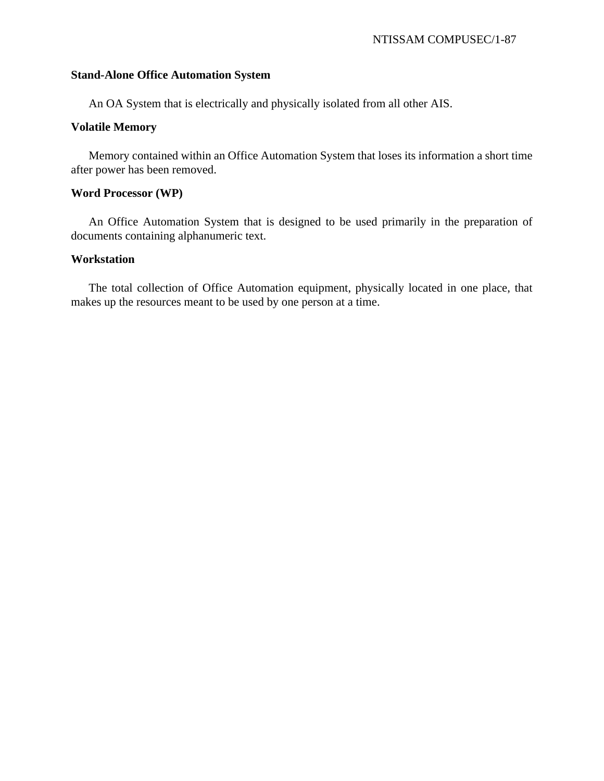#### **Stand-Alone Office Automation System**

An OA System that is electrically and physically isolated from all other AIS.

# **Volatile Memory**

Memory contained within an Office Automation System that loses its information a short time after power has been removed.

## **Word Processor (WP)**

An Office Automation System that is designed to be used primarily in the preparation of documents containing alphanumeric text.

## **Workstation**

The total collection of Office Automation equipment, physically located in one place, that makes up the resources meant to be used by one person at a time.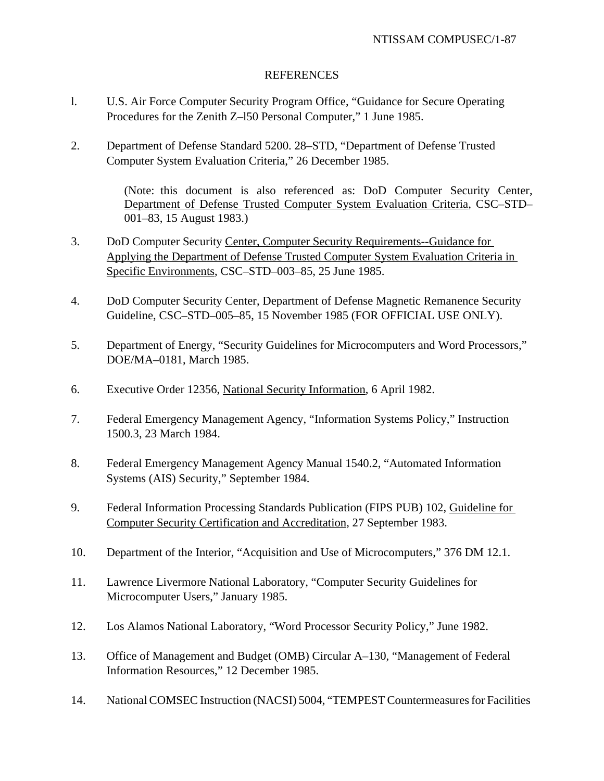## REFERENCES

- l. U.S. Air Force Computer Security Program Office, "Guidance for Secure Operating Procedures for the Zenith Z–l50 Personal Computer," 1 June 1985.
- 2. Department of Defense Standard 5200. 28–STD, "Department of Defense Trusted Computer System Evaluation Criteria," 26 December 1985.

(Note: this document is also referenced as: DoD Computer Security Center, Department of Defense Trusted Computer System Evaluation Criteria, CSC–STD– 001–83, 15 August 1983.)

- 3. DoD Computer Security Center, Computer Security Requirements--Guidance for Applying the Department of Defense Trusted Computer System Evaluation Criteria in Specific Environments, CSC–STD–003–85, 25 June 1985.
- 4. DoD Computer Security Center, Department of Defense Magnetic Remanence Security Guideline, CSC–STD–005–85, 15 November 1985 (FOR OFFICIAL USE ONLY).
- 5. Department of Energy, "Security Guidelines for Microcomputers and Word Processors," DOE/MA–0181, March 1985.
- 6. Executive Order 12356, National Security Information, 6 April 1982.
- 7. Federal Emergency Management Agency, "Information Systems Policy," Instruction 1500.3, 23 March 1984.
- 8. Federal Emergency Management Agency Manual 1540.2, "Automated Information Systems (AIS) Security," September 1984.
- 9. Federal Information Processing Standards Publication (FIPS PUB) 102, Guideline for Computer Security Certification and Accreditation, 27 September 1983.
- 10. Department of the Interior, "Acquisition and Use of Microcomputers," 376 DM 12.1.
- 11. Lawrence Livermore National Laboratory, "Computer Security Guidelines for Microcomputer Users," January 1985.
- 12. Los Alamos National Laboratory, "Word Processor Security Policy," June 1982.
- 13. Office of Management and Budget (OMB) Circular A–130, "Management of Federal Information Resources," 12 December 1985.
- 14. National COMSEC Instruction (NACSI) 5004, "TEMPEST Countermeasures for Facilities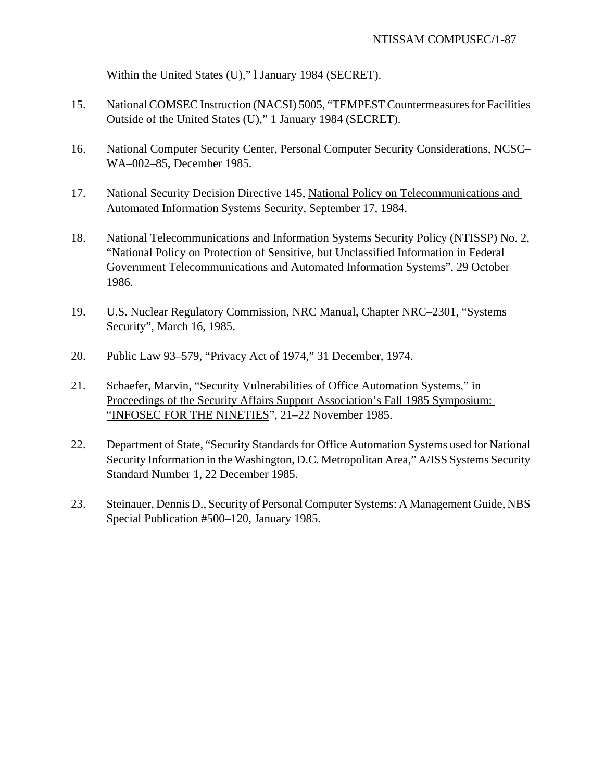Within the United States (U)," l January 1984 (SECRET).

- 15. National COMSEC Instruction (NACSI) 5005, "TEMPEST Countermeasures for Facilities Outside of the United States (U)," 1 January 1984 (SECRET).
- 16. National Computer Security Center, Personal Computer Security Considerations, NCSC– WA–002–85, December 1985.
- 17. National Security Decision Directive 145, National Policy on Telecommunications and Automated Information Systems Security, September 17, 1984.
- 18. National Telecommunications and Information Systems Security Policy (NTISSP) No. 2, "National Policy on Protection of Sensitive, but Unclassified Information in Federal Government Telecommunications and Automated Information Systems", 29 October 1986.
- 19. U.S. Nuclear Regulatory Commission, NRC Manual, Chapter NRC–2301, "Systems Security", March 16, 1985.
- 20. Public Law 93–579, "Privacy Act of 1974," 31 December, 1974.
- 21. Schaefer, Marvin, "Security Vulnerabilities of Office Automation Systems," in Proceedings of the Security Affairs Support Association's Fall 1985 Symposium: "INFOSEC FOR THE NINETIES", 21–22 November 1985.
- 22. Department of State, "Security Standards for Office Automation Systems used for National Security Information in the Washington, D.C. Metropolitan Area," A/ISS Systems Security Standard Number 1, 22 December 1985.
- 23. Steinauer, Dennis D., Security of Personal Computer Systems: A Management Guide, NBS Special Publication #500–120, January 1985.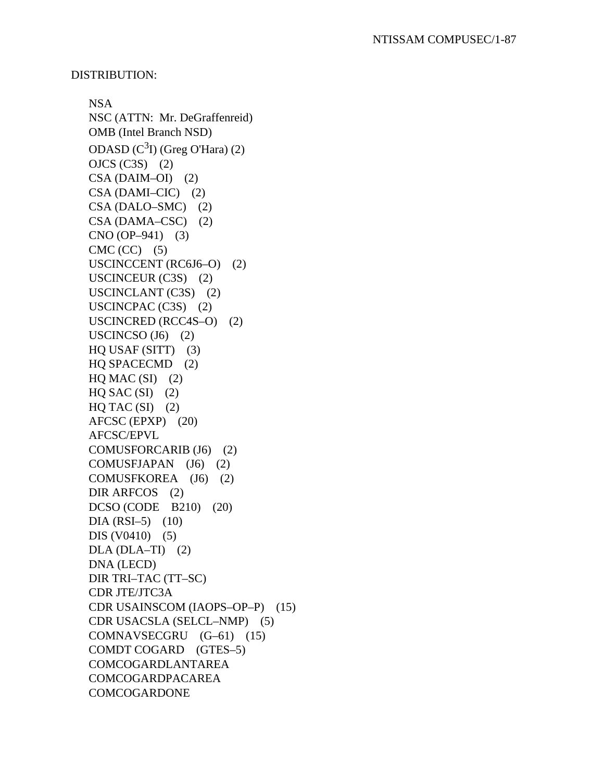#### DISTRIBUTION:

NSA NSC (ATTN: Mr. DeGraffenreid) OMB (Intel Branch NSD) ODASD  $(C<sup>3</sup>I)$  (Greg O'Hara) (2) OJCS (C3S) (2)  $CSA (DAIM-OI) (2)$ CSA (DAMI–CIC) (2) CSA (DALO–SMC) (2) CSA (DAMA–CSC) (2) CNO (OP–941) (3)  $CMC (CC)$  (5) USCINCCENT (RC6J6–O) (2) USCINCEUR (C3S) (2) USCINCLANT (C3S) (2) USCINCPAC (C3S) (2) USCINCRED (RCC4S–O) (2) USCINCSO  $(J6)$  (2) HQ USAF (SITT) (3) HQ SPACECMD (2)  $HQ$  MAC  $(SI)$  (2)  $HQ$  SAC  $(SI)$  (2)  $HQ$  TAC  $(SI)$  (2) AFCSC (EPXP) (20) AFCSC/EPVL COMUSFORCARIB (J6) (2) COMUSFJAPAN (J6) (2) COMUSFKOREA (J6) (2) DIR ARFCOS (2) DCSO (CODE B210) (20)  $DIA (RSI–5)$  (10) DIS (V0410) (5)  $DLA (DLA-TI)$  (2) DNA (LECD) DIR TRI–TAC (TT–SC) CDR JTE/JTC3A CDR USAINSCOM (IAOPS–OP–P) (15) CDR USACSLA (SELCL–NMP) (5) COMNAVSECGRU (G–61) (15) COMDT COGARD (GTES–5) COMCOGARDLANTAREA COMCOGARDPACAREA COMCOGARDONE